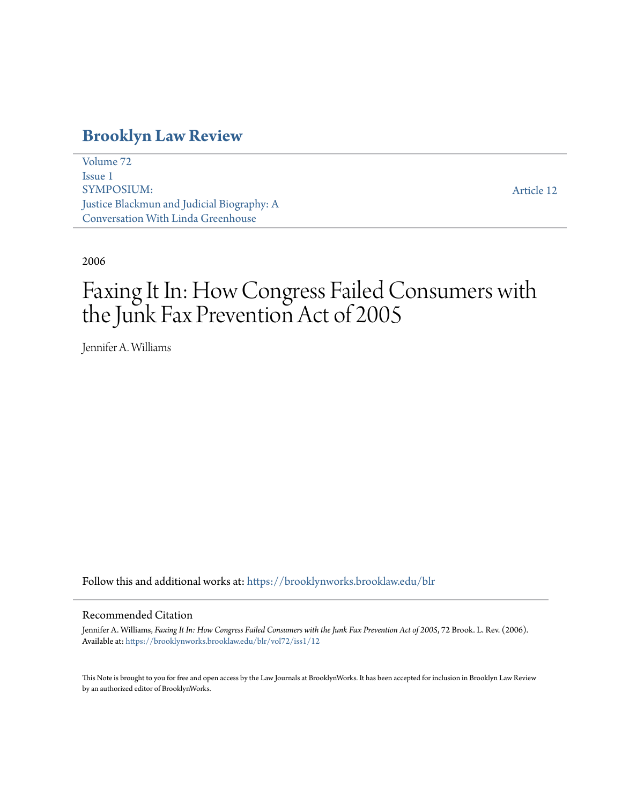# **[Brooklyn Law Review](https://brooklynworks.brooklaw.edu/blr?utm_source=brooklynworks.brooklaw.edu%2Fblr%2Fvol72%2Fiss1%2F12&utm_medium=PDF&utm_campaign=PDFCoverPages)**

[Volume 72](https://brooklynworks.brooklaw.edu/blr/vol72?utm_source=brooklynworks.brooklaw.edu%2Fblr%2Fvol72%2Fiss1%2F12&utm_medium=PDF&utm_campaign=PDFCoverPages) [Issue 1](https://brooklynworks.brooklaw.edu/blr/vol72/iss1?utm_source=brooklynworks.brooklaw.edu%2Fblr%2Fvol72%2Fiss1%2F12&utm_medium=PDF&utm_campaign=PDFCoverPages) SYMPOSIUM: Justice Blackmun and Judicial Biography: A Conversation With Linda Greenhouse

[Article 12](https://brooklynworks.brooklaw.edu/blr/vol72/iss1/12?utm_source=brooklynworks.brooklaw.edu%2Fblr%2Fvol72%2Fiss1%2F12&utm_medium=PDF&utm_campaign=PDFCoverPages)

# 2006

# Faxing It In: How Congress Failed Consumers with the Junk Fax Prevention Act of 2005

Jennifer A. Williams

Follow this and additional works at: [https://brooklynworks.brooklaw.edu/blr](https://brooklynworks.brooklaw.edu/blr?utm_source=brooklynworks.brooklaw.edu%2Fblr%2Fvol72%2Fiss1%2F12&utm_medium=PDF&utm_campaign=PDFCoverPages)

#### Recommended Citation

Jennifer A. Williams, *Faxing It In: How Congress Failed Consumers with the Junk Fax Prevention Act of 2005*, 72 Brook. L. Rev. (2006). Available at: [https://brooklynworks.brooklaw.edu/blr/vol72/iss1/12](https://brooklynworks.brooklaw.edu/blr/vol72/iss1/12?utm_source=brooklynworks.brooklaw.edu%2Fblr%2Fvol72%2Fiss1%2F12&utm_medium=PDF&utm_campaign=PDFCoverPages)

This Note is brought to you for free and open access by the Law Journals at BrooklynWorks. It has been accepted for inclusion in Brooklyn Law Review by an authorized editor of BrooklynWorks.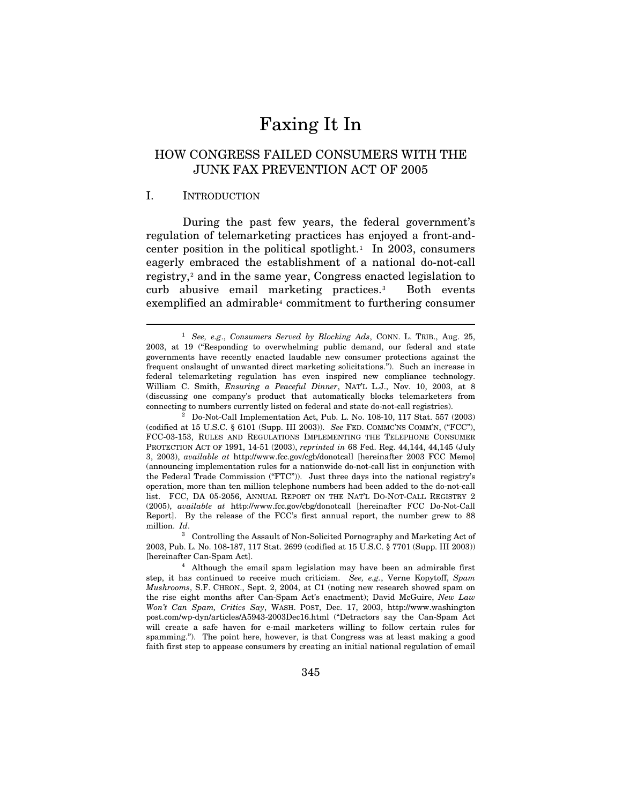# Faxing It In

# HOW CONGRESS FAILED CONSUMERS WITH THE JUNK FAX PREVENTION ACT OF 2005

#### I. INTRODUCTION

 $\overline{a}$ 

During the past few years, the federal government's regulation of telemarketing practices has enjoyed a front-and-center position in the political spotlight.<sup>[1](#page-1-0)</sup> In 2003, consumers eagerly embraced the establishment of a national do-not-call registry,<sup>[2](#page-1-1)</sup> and in the same year, Congress enacted legislation to curb abusive email marketing practices.[3](#page-1-2) Both events exemplified an admirable<sup>[4](#page-1-3)</sup> commitment to furthering consumer

<span id="page-1-0"></span><sup>1</sup> *See, e.g*., *Consumers Served by Blocking Ads*, CONN. L. TRIB., Aug. 25, 2003, at 19 ("Responding to overwhelming public demand, our federal and state governments have recently enacted laudable new consumer protections against the frequent onslaught of unwanted direct marketing solicitations."). Such an increase in federal telemarketing regulation has even inspired new compliance technology. William C. Smith, *Ensuring a Peaceful Dinner*, NAT'L L.J., Nov. 10, 2003, at 8 (discussing one company's product that automatically blocks telemarketers from connecting to numbers currently listed on federal and state do-not-call registries). 2 Do-Not-Call Implementation Act, Pub. L. No. 108-10, 117 Stat. 557 (2003)

<span id="page-1-1"></span><sup>(</sup>codified at 15 U.S.C. § 6101 (Supp. III 2003)). *See* FED. COMMC'NS COMM'N, ("FCC"), FCC-03-153, RULES AND REGULATIONS IMPLEMENTING THE TELEPHONE CONSUMER PROTECTION ACT OF 1991, 14-51 (2003), *reprinted in* 68 Fed. Reg. 44,144, 44,145 (July 3, 2003), *available at* http://www.fcc.gov/cgb/donotcall [hereinafter 2003 FCC Memo] (announcing implementation rules for a nationwide do-not-call list in conjunction with the Federal Trade Commission ("FTC")). Just three days into the national registry's operation, more than ten million telephone numbers had been added to the do-not-call list. FCC, DA 05-2056, ANNUAL REPORT ON THE NAT'L DO-NOT-CALL REGISTRY 2 (2005), *available at* http://www.fcc.gov/cbg/donotcall [hereinafter FCC Do-Not-Call Report]. By the release of the FCC's first annual report, the number grew to 88 million. *Id*.

<span id="page-1-2"></span><sup>3</sup> Controlling the Assault of Non-Solicited Pornography and Marketing Act of 2003, Pub. L. No. 108-187, 117 Stat. 2699 (codified at 15 U.S.C. § 7701 (Supp. III 2003))

<span id="page-1-3"></span><sup>[</sup>hereinafter Can-Spam Act]. 4 Although the email spam legislation may have been an admirable first step, it has continued to receive much criticism. *See, e.g.*, Verne Kopytoff, *Spam Mushrooms*, S.F. CHRON., Sept. 2, 2004, at C1 (noting new research showed spam on the rise eight months after Can-Spam Act's enactment); David McGuire, *New Law Won't Can Spam, Critics Say*, WASH. POST, Dec. 17, 2003, http://www.washington post.com/wp-dyn/articles/A5943-2003Dec16.html ("Detractors say the Can-Spam Act will create a safe haven for e-mail marketers willing to follow certain rules for spamming."). The point here, however, is that Congress was at least making a good faith first step to appease consumers by creating an initial national regulation of email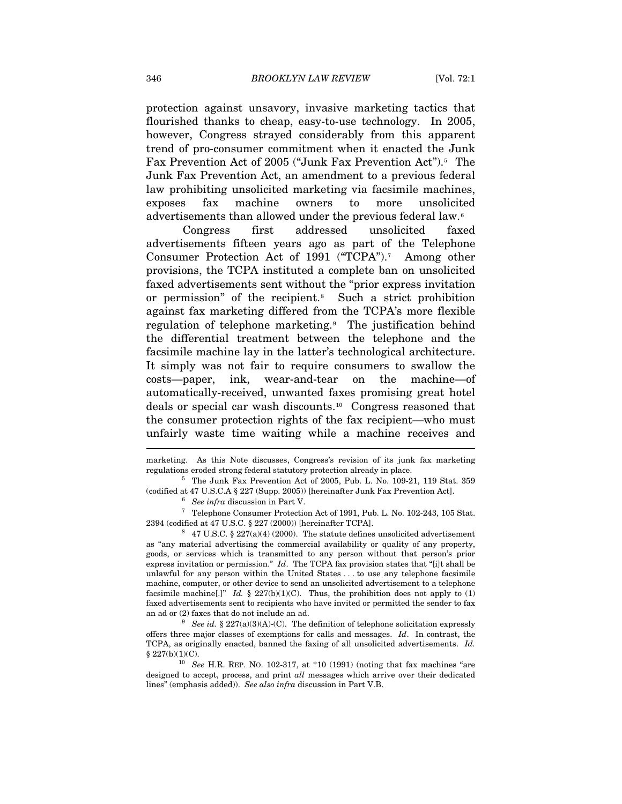protection against unsavory, invasive marketing tactics that flourished thanks to cheap, easy-to-use technology. In 2005, however, Congress strayed considerably from this apparent trend of pro-consumer commitment when it enacted the Junk Fax Prevention Act of 200[5](#page-2-0) ("Junk Fax Prevention Act").<sup>5</sup> The Junk Fax Prevention Act, an amendment to a previous federal law prohibiting unsolicited marketing via facsimile machines, exposes fax machine owners to more unsolicited advertisements than allowed under the previous federal law.[6](#page-2-1)

Congress first addressed unsolicited faxed advertisements fifteen years ago as part of the Telephone Consumer Protection Act of 1991 ("TCPA").[7](#page-2-2) Among other provisions, the TCPA instituted a complete ban on unsolicited faxed advertisements sent without the "prior express invitation or permission" of the recipient.<sup>[8](#page-2-3)</sup> Such a strict prohibition against fax marketing differed from the TCPA's more flexible regulation of telephone marketing.[9](#page-2-4) The justification behind the differential treatment between the telephone and the facsimile machine lay in the latter's technological architecture. It simply was not fair to require consumers to swallow the costs—paper, ink, wear-and-tear on the machine—of automatically-received, unwanted faxes promising great hotel deals or special car wash discounts.[10](#page-2-5) Congress reasoned that the consumer protection rights of the fax recipient—who must unfairly waste time waiting while a machine receives and

<span id="page-2-2"></span><span id="page-2-1"></span><span id="page-2-0"></span>% (codified at 47 U.S.C.A § 227 (Supp. 2005)) [hereinafter Junk Fax Prevention Act].<br>  $^6$  *See infra* discussion in Part V.<br>  $^7$  Telephone Consumer Protection Act of 1991, Pub. L. No. 102-243, 105 Stat.<br>
2394 (codified

<span id="page-2-3"></span> $3\quad 47 \text{ U.S.C. }$  § 227(a)(4) (2000). The statute defines unsolicited advertisement as "any material advertising the commercial availability or quality of any property, goods, or services which is transmitted to any person without that person's prior express invitation or permission." *Id*. The TCPA fax provision states that "[i]t shall be unlawful for any person within the United States . . . to use any telephone facsimile machine, computer, or other device to send an unsolicited advertisement to a telephone facsimile machine<sup>[1]</sup>" *Id.* § 227(b)(1)(C). Thus, the prohibition does not apply to (1) faxed advertisements sent to recipients who have invited or permitted the sender to fax an ad or (2) faxes that do not include an ad.<br><sup>9</sup> *See id.* § 227(a)(3)(A)-(C). The definition of telephone solicitation expressly

<span id="page-2-4"></span>offers three major classes of exemptions for calls and messages. *Id*. In contrast, the TCPA, as originally enacted, banned the faxing of all unsolicited advertisements. *Id.* § 227(b)(1)(C). 10 *See* H.R. REP. NO. 102-317, at \*10 (1991) (noting that fax machines "are

<span id="page-2-5"></span>designed to accept, process, and print *all* messages which arrive over their dedicated lines" (emphasis added)). *See also infra* discussion in Part V.B.

marketing. As this Note discusses, Congress's revision of its junk fax marketing regulations eroded strong federal statutory protection already in place. 5 The Junk Fax Prevention Act of 2005, Pub. L. No. 109-21, 119 Stat. 359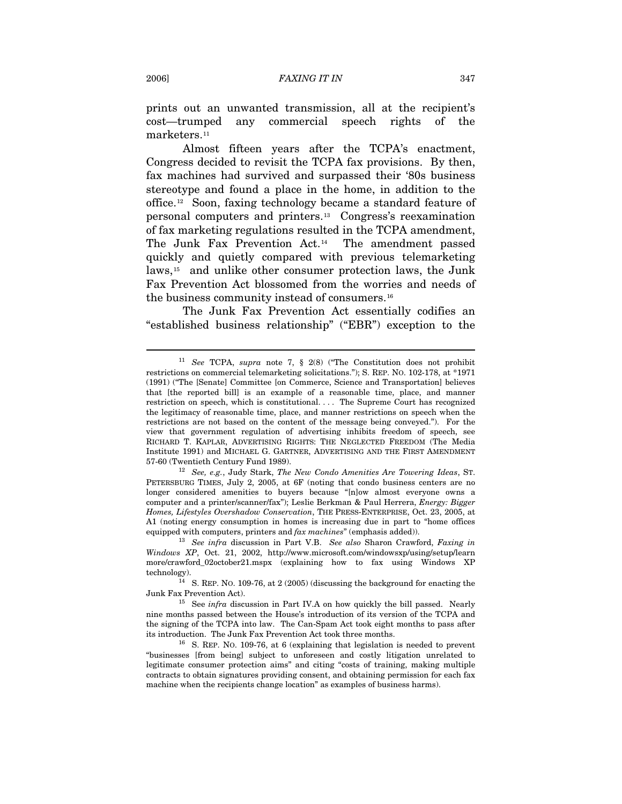prints out an unwanted transmission, all at the recipient's cost—trumped any commercial speech rights of the marketers.<sup>[11](#page-3-0)</sup>

Almost fifteen years after the TCPA's enactment, Congress decided to revisit the TCPA fax provisions. By then, fax machines had survived and surpassed their '80s business stereotype and found a place in the home, in addition to the office.[12](#page-3-1) Soon, faxing technology became a standard feature of personal computers and printers.[13](#page-3-2) Congress's reexamination of fax marketing regulations resulted in the TCPA amendment, The Junk Fax Prevention Act.[14](#page-3-3) The amendment passed quickly and quietly compared with previous telemarketing laws,[15](#page-3-4) and unlike other consumer protection laws, the Junk Fax Prevention Act blossomed from the worries and needs of the business community instead of consumers.[16](#page-3-5)

The Junk Fax Prevention Act essentially codifies an "established business relationship" ("EBR") exception to the

<span id="page-3-1"></span>PETERSBURG TIMES, July 2, 2005, at 6F (noting that condo business centers are no longer considered amenities to buyers because "[n]ow almost everyone owns a computer and a printer/scanner/fax"); Leslie Berkman & Paul Herrera, *Energy: Bigger Homes, Lifestyles Overshadow Conservation*, THE PRESS-ENTERPRISE, Oct. 23, 2005, at A1 (noting energy consumption in homes is increasing due in part to "home offices equipped with computers, printers and  $\hat{f}ax$  machines" (emphasis added)).

<span id="page-3-2"></span><sup>13</sup> See infra discussion in Part V.B. See also Sharon Crawford, *Faxing in Windows XP*, Oct. 21, 2002, http://www.microsoft.com/windowsxp/using/setup/learn more/crawford\_02october21.mspx (explaining how to fax using Windows XP technology).  $14$  S. REP. NO. 109-76, at 2 (2005) (discussing the background for enacting the

<span id="page-3-3"></span>Junk Fax Prevention Act). 15 See *infra* discussion in Part IV.A on how quickly the bill passed. Nearly

<span id="page-3-4"></span>nine months passed between the House's introduction of its version of the TCPA and the signing of the TCPA into law. The Can-Spam Act took eight months to pass after its introduction. The Junk Fax Prevention Act took three months.<br><sup>16</sup> S. REP. NO. 109-76, at 6 (explaining that legislation is needed to prevent

<span id="page-3-5"></span>"businesses [from being] subject to unforeseen and costly litigation unrelated to legitimate consumer protection aims" and citing "costs of training, making multiple contracts to obtain signatures providing consent, and obtaining permission for each fax machine when the recipients change location" as examples of business harms).

<span id="page-3-0"></span><sup>11</sup> *See* TCPA, *supra* note 7, § 2(8) ("The Constitution does not prohibit restrictions on commercial telemarketing solicitations."); S. REP. NO. 102-178, at \*1971 (1991) ("The [Senate] Committee [on Commerce, Science and Transportation] believes that [the reported bill] is an example of a reasonable time, place, and manner restriction on speech, which is constitutional. . . . The Supreme Court has recognized the legitimacy of reasonable time, place, and manner restrictions on speech when the restrictions are not based on the content of the message being conveyed."). For the view that government regulation of advertising inhibits freedom of speech, see RICHARD T. KAPLAR, ADVERTISING RIGHTS: THE NEGLECTED FREEDOM (The Media Institute 1991) and MICHAEL G. GARTNER, ADVERTISING AND THE FIRST AMENDMENT 57-60 (Twentieth Century Fund 1989). 12 *See, e.g.*, Judy Stark, *The New Condo Amenities Are Towering Ideas*, ST.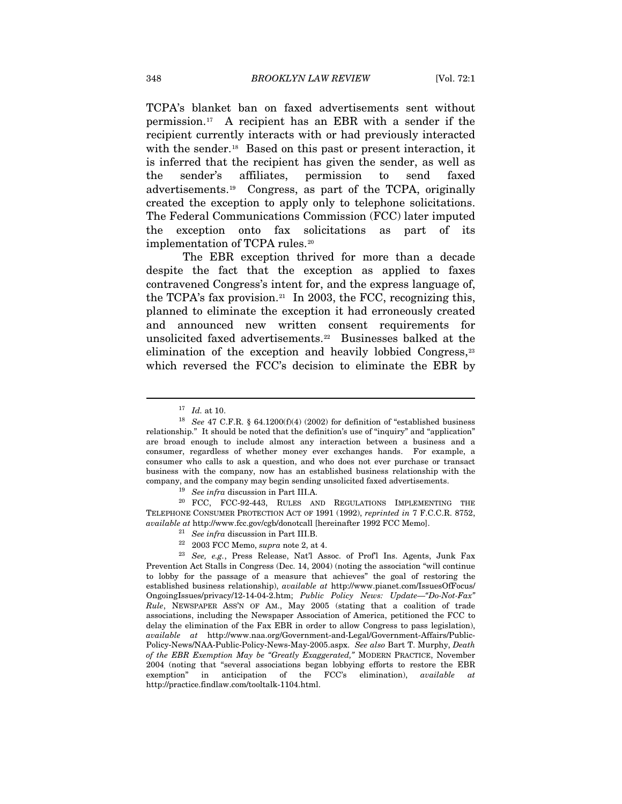TCPA's blanket ban on faxed advertisements sent without permission.[17](#page-4-0) A recipient has an EBR with a sender if the recipient currently interacts with or had previously interacted with the sender.<sup>[18](#page-4-1)</sup> Based on this past or present interaction, it is inferred that the recipient has given the sender, as well as the sender's affiliates, permission to send faxed advertisements.[19](#page-4-2) Congress, as part of the TCPA, originally created the exception to apply only to telephone solicitations. The Federal Communications Commission (FCC) later imputed the exception onto fax solicitations as part of its implementation of TCPA rules.<sup>[20](#page-4-3)</sup>

The EBR exception thrived for more than a decade despite the fact that the exception as applied to faxes contravened Congress's intent for, and the express language of, the TCPA's fax provision.<sup>[21](#page-4-4)</sup> In 2003, the FCC, recognizing this, planned to eliminate the exception it had erroneously created and announced new written consent requirements for unsolicited faxed advertisements.[22](#page-4-5) Businesses balked at the elimination of the exception and heavily lobbied Congress,<sup>[23](#page-4-6)</sup> which reversed the FCC's decision to eliminate the EBR by

 $\overline{a}$ 

<span id="page-4-3"></span><span id="page-4-2"></span>TELEPHONE CONSUMER PROTECTION ACT OF 1991 (1992), *reprinted in* 7 F.C.C.R. 8752,

- 
- 

<span id="page-4-1"></span><span id="page-4-0"></span><sup>&</sup>lt;sup>17</sup> *Id.* at 10.<br><sup>18</sup> *See* 47 C.F.R. § 64.1200(f)(4) (2002) for definition of "established business relationship." It should be noted that the definition's use of "inquiry" and "application" are broad enough to include almost any interaction between a business and a consumer, regardless of whether money ever exchanges hands. For example, a consumer who calls to ask a question, and who does not ever purchase or transact business with the company, now has an established business relationship with the company, and the company may begin sending unsolicited faxed advertisements.<br><sup>19</sup> See *infra* discussion in Part III.A.<br><sup>20</sup> FCC, FCC-92-443, RULES AND REGULATIONS IMPLEMENTING THE

<span id="page-4-6"></span><span id="page-4-5"></span><span id="page-4-4"></span><sup>%</sup> available at http://www.fcc.gov/cgb/donotcall [hereinafter 1992 FCC Memo].<br><sup>21</sup> See infra discussion in Part III.B.<br><sup>22</sup> 2003 FCC Memo, *supra* note 2, at 4.<br><sup>23</sup> See, e.g., Press Release, Nat'l Assoc. of Prof'l Ins. Ag Prevention Act Stalls in Congress (Dec. 14, 2004) (noting the association "will continue to lobby for the passage of a measure that achieves" the goal of restoring the established business relationship), *available at* http://www.pianet.com/IssuesOfFocus/ OngoingIssues/privacy/12-14-04-2.htm; *Public Policy News: Update—"Do-Not-Fax" Rule*, NEWSPAPER ASS'N OF AM., May 2005 (stating that a coalition of trade associations, including the Newspaper Association of America, petitioned the FCC to delay the elimination of the Fax EBR in order to allow Congress to pass legislation), *available at* http://www.naa.org/Government-and-Legal/Government-Affairs/Public-Policy-News/NAA-Public-Policy-News-May-2005.aspx. *See also* Bart T. Murphy, *Death of the EBR Exemption May be "Greatly Exaggerated,"* MODERN PRACTICE, November 2004 (noting that "several associations began lobbying efforts to restore the EBR exemption" in anticipation of the FCC's elimination), *available* http://practice.findlaw.com/tooltalk-1104.html.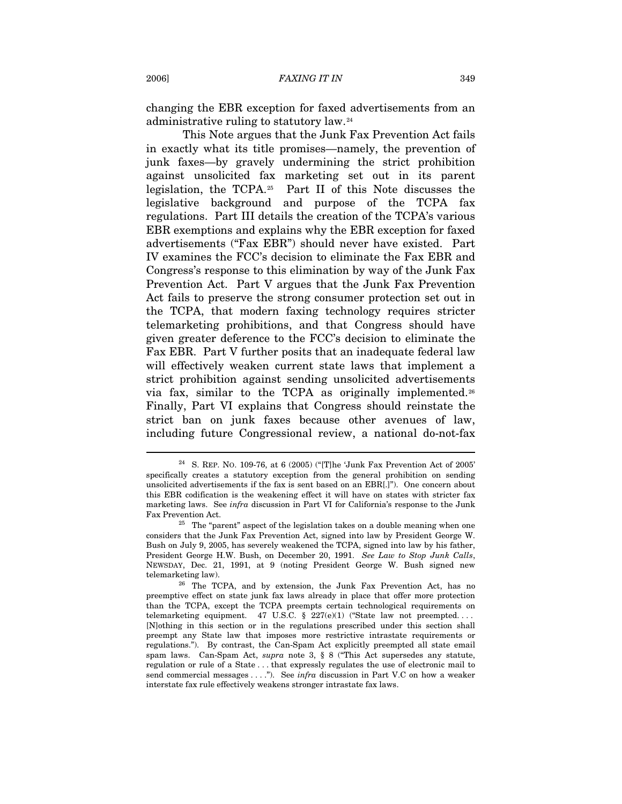changing the EBR exception for faxed advertisements from an administrative ruling to statutory law.[24](#page-5-0)

This Note argues that the Junk Fax Prevention Act fails in exactly what its title promises—namely, the prevention of junk faxes—by gravely undermining the strict prohibition against unsolicited fax marketing set out in its parent legislation, the TCPA.[25](#page-5-1) Part II of this Note discusses the legislative background and purpose of the TCPA fax regulations. Part III details the creation of the TCPA's various EBR exemptions and explains why the EBR exception for faxed advertisements ("Fax EBR") should never have existed. Part IV examines the FCC's decision to eliminate the Fax EBR and Congress's response to this elimination by way of the Junk Fax Prevention Act. Part V argues that the Junk Fax Prevention Act fails to preserve the strong consumer protection set out in the TCPA, that modern faxing technology requires stricter telemarketing prohibitions, and that Congress should have given greater deference to the FCC's decision to eliminate the Fax EBR. Part V further posits that an inadequate federal law will effectively weaken current state laws that implement a strict prohibition against sending unsolicited advertisements via fax, similar to the TCPA as originally implemented.[26](#page-5-2) Finally, Part VI explains that Congress should reinstate the strict ban on junk faxes because other avenues of law, including future Congressional review, a national do-not-fax

<span id="page-5-0"></span><sup>&</sup>lt;sup>24</sup> S. REP. NO. 109-76, at 6 (2005) ("[T]he 'Junk Fax Prevention Act of 2005' specifically creates a statutory exception from the general prohibition on sending unsolicited advertisements if the fax is sent based on an EBR[.]"). One concern about this EBR codification is the weakening effect it will have on states with stricter fax marketing laws. See *infra* discussion in Part VI for California's response to the Junk Fax Prevention Act.  $25$  The "parent" aspect of the legislation takes on a double meaning when one

<span id="page-5-1"></span>considers that the Junk Fax Prevention Act, signed into law by President George W. Bush on July 9, 2005, has severely weakened the TCPA, signed into law by his father, President George H.W. Bush, on December 20, 1991. *See Law to Stop Junk Calls*, NEWSDAY, Dec. 21, 1991, at 9 (noting President George W. Bush signed new

<span id="page-5-2"></span>telemarketing law). <sup>26</sup> The TCPA, and by extension, the Junk Fax Prevention Act, has no preemptive effect on state junk fax laws already in place that offer more protection than the TCPA, except the TCPA preempts certain technological requirements on telemarketing equipment. 47 U.S.C. § 227(e)(1) ("State law not preempted.... [N]othing in this section or in the regulations prescribed under this section shall preempt any State law that imposes more restrictive intrastate requirements or regulations."). By contrast, the Can-Spam Act explicitly preempted all state email spam laws. Can-Spam Act, *supra* note 3, § 8 ("This Act supersedes any statute, regulation or rule of a State . . . that expressly regulates the use of electronic mail to send commercial messages . . . ."). See *infra* discussion in Part V.C on how a weaker interstate fax rule effectively weakens stronger intrastate fax laws.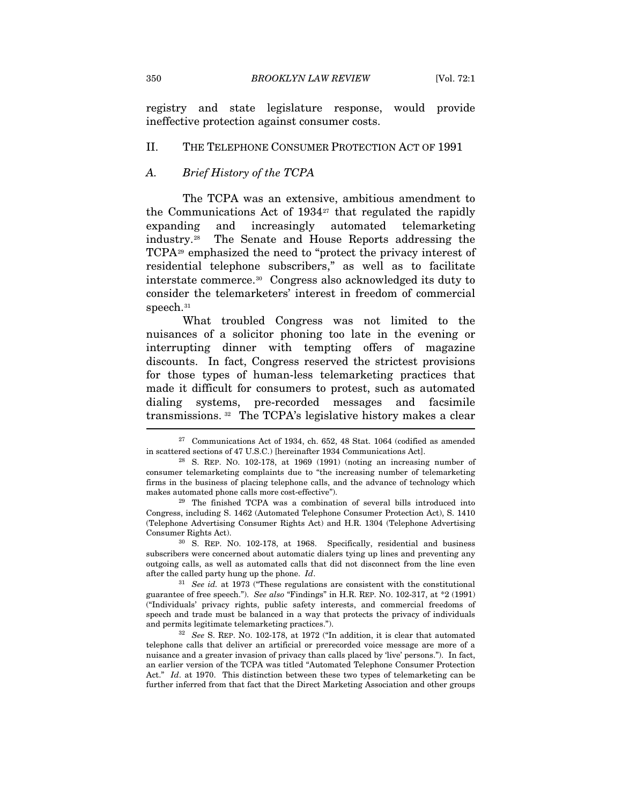registry and state legislature response, would provide ineffective protection against consumer costs.

#### II. THE TELEPHONE CONSUMER PROTECTION ACT OF 1991

# *A. Brief History of the TCPA*

The TCPA was an extensive, ambitious amendment to the Communications Act of  $1934<sup>27</sup>$  $1934<sup>27</sup>$  $1934<sup>27</sup>$  that regulated the rapidly expanding and increasingly automated telemarketing industry.[28](#page-6-1) The Senate and House Reports addressing the TCPA[29](#page-6-2) emphasized the need to "protect the privacy interest of residential telephone subscribers," as well as to facilitate interstate commerce.[30](#page-6-3) Congress also acknowledged its duty to consider the telemarketers' interest in freedom of commercial speech.<sup>[31](#page-6-4)</sup>

What troubled Congress was not limited to the nuisances of a solicitor phoning too late in the evening or interrupting dinner with tempting offers of magazine discounts. In fact, Congress reserved the strictest provisions for those types of human-less telemarketing practices that made it difficult for consumers to protest, such as automated dialing systems, pre-recorded messages and facsimile transmissions. [32](#page-6-5) The TCPA's legislative history makes a clear

<span id="page-6-2"></span>Congress, including S. 1462 (Automated Telephone Consumer Protection Act), S. 1410 (Telephone Advertising Consumer Rights Act) and H.R. 1304 (Telephone Advertising Consumer Rights Act). 30 S. REP. NO. 102-178, at 1968. Specifically, residential and business

<span id="page-6-3"></span>subscribers were concerned about automatic dialers tying up lines and preventing any outgoing calls, as well as automated calls that did not disconnect from the line even after the called party hung up the phone. *Id*. 31 *See id.* at 1973 ("These regulations are consistent with the constitutional

<span id="page-6-4"></span>guarantee of free speech."). *See also* "Findings" in H.R. REP. NO. 102-317, at \*2 (1991) ("Individuals' privacy rights, public safety interests, and commercial freedoms of speech and trade must be balanced in a way that protects the privacy of individuals and permits legitimate telemarketing practices."). 32 *See* S. REP. NO. 102-178, at 1972 ("In addition, it is clear that automated

<span id="page-6-5"></span>telephone calls that deliver an artificial or prerecorded voice message are more of a nuisance and a greater invasion of privacy than calls placed by 'live' persons."). In fact, an earlier version of the TCPA was titled "Automated Telephone Consumer Protection Act." *Id*. at 1970. This distinction between these two types of telemarketing can be further inferred from that fact that the Direct Marketing Association and other groups

<span id="page-6-0"></span> $27$  Communications Act of 1934, ch. 652, 48 Stat. 1064 (codified as amended in scattered sections of 47 U.S.C.) [hereinafter 1934 Communications Act]. 28 S. REP. NO. 102-178, at 1969 (1991) (noting an increasing number of

<span id="page-6-1"></span>consumer telemarketing complaints due to "the increasing number of telemarketing firms in the business of placing telephone calls, and the advance of technology which makes automated phone calls more cost-effective"). 29 The finished TCPA was a combination of several bills introduced into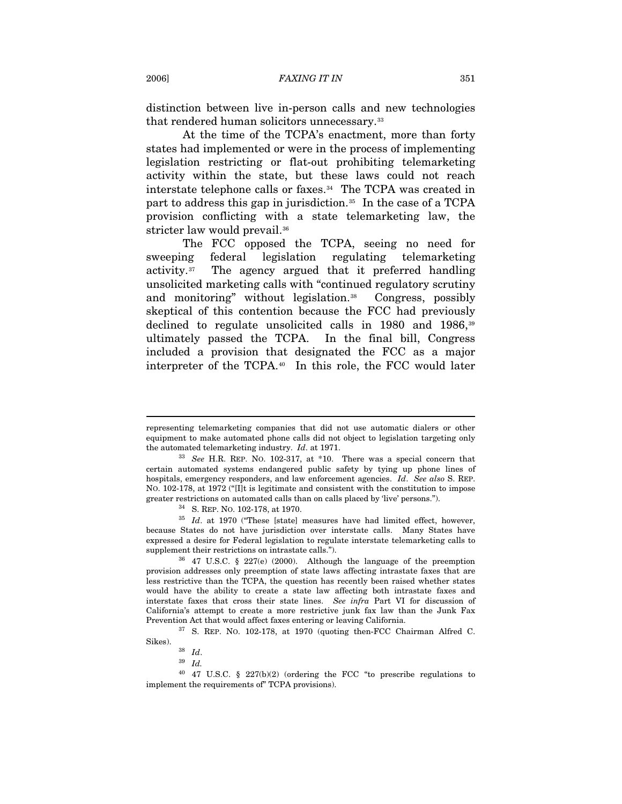distinction between live in-person calls and new technologies that rendered human solicitors unnecessary.[33](#page-7-0)

At the time of the TCPA's enactment, more than forty states had implemented or were in the process of implementing legislation restricting or flat-out prohibiting telemarketing activity within the state, but these laws could not reach interstate telephone calls or faxes.<sup>[34](#page-7-1)</sup> The TCPA was created in part to address this gap in jurisdiction.[35](#page-7-2) In the case of a TCPA provision conflicting with a state telemarketing law, the stricter law would prevail.<sup>[36](#page-7-3)</sup>

The FCC opposed the TCPA, seeing no need for sweeping federal legislation regulating telemarketing activity.[37](#page-7-4) The agency argued that it preferred handling unsolicited marketing calls with "continued regulatory scrutiny and monitoring" without legislation.<sup>[38](#page-7-5)</sup> Congress, possibly skeptical of this contention because the FCC had previously declined to regulate unsolicited calls in 1980 and 1986,[39](#page-7-6) ultimately passed the TCPA. In the final bill, Congress included a provision that designated the FCC as a major interpreter of the TCPA.[40](#page-7-7) In this role, the FCC would later

<span id="page-7-4"></span>Prevention Act that would affect faxes entering or leaving California.<br><sup>37</sup> S. REP. NO. 102-178, at 1970 (quoting then-FCC Chairman Alfred C. Sikes).

representing telemarketing companies that did not use automatic dialers or other equipment to make automated phone calls did not object to legislation targeting only the automated telemarketing industry. *Id*. at 1971. 33 *See* H.R. REP. NO. 102-317, at \*10. There was a special concern that

<span id="page-7-0"></span>certain automated systems endangered public safety by tying up phone lines of hospitals, emergency responders, and law enforcement agencies. *Id*. *See also* S. REP. NO. 102-178, at 1972 ("[I]t is legitimate and consistent with the constitution to impose greater restrictions on automated calls than on calls placed by 'live' persons.").<br><sup>34</sup> S. REP. NO. 102-178, at 1970.<br><sup>35</sup> *Id.* at 1970 ("These [state] measures have had limited effect, however,

<span id="page-7-2"></span><span id="page-7-1"></span>because States do not have jurisdiction over interstate calls. Many States have expressed a desire for Federal legislation to regulate interstate telemarketing calls to supplement their restrictions on intrastate calls."). 36 47 U.S.C. § 227(e) (2000). Although the language of the preemption

<span id="page-7-3"></span>provision addresses only preemption of state laws affecting intrastate faxes that are less restrictive than the TCPA, the question has recently been raised whether states would have the ability to create a state law affecting both intrastate faxes and interstate faxes that cross their state lines. *See infra* Part VI for discussion of California's attempt to create a more restrictive junk fax law than the Junk Fax

Sikes). 38 *Id*. 39 *Id.*

<span id="page-7-7"></span><span id="page-7-6"></span><span id="page-7-5"></span><sup>40 47</sup> U.S.C. § 227(b)(2) (ordering the FCC "to prescribe regulations to implement the requirements of" TCPA provisions).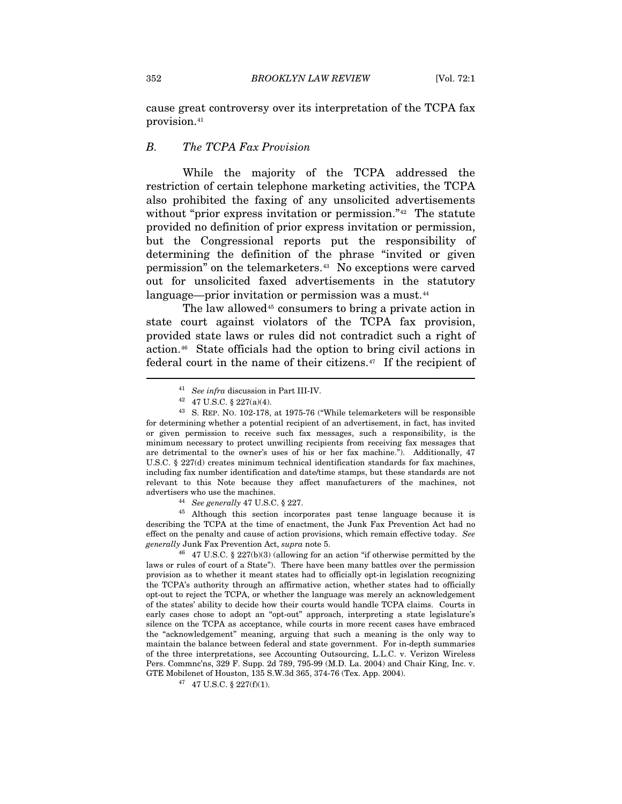cause great controversy over its interpretation of the TCPA fax provision.[41](#page-8-0)

### *B. The TCPA Fax Provision*

While the majority of the TCPA addressed the restriction of certain telephone marketing activities, the TCPA also prohibited the faxing of any unsolicited advertisements without "prior express invitation or permission."<sup>[42](#page-8-1)</sup> The statute provided no definition of prior express invitation or permission, but the Congressional reports put the responsibility of determining the definition of the phrase "invited or given permission" on the telemarketers.[43](#page-8-2) No exceptions were carved out for unsolicited faxed advertisements in the statutory language—prior invitation or permission was a must.<sup>[44](#page-8-3)</sup>

The law allowed<sup>[45](#page-8-4)</sup> consumers to bring a private action in state court against violators of the TCPA fax provision, provided state laws or rules did not contradict such a right of action.[46](#page-8-5) State officials had the option to bring civil actions in federal court in the name of their citizens.[47](#page-8-6) If the recipient of

<span id="page-8-4"></span><span id="page-8-3"></span>describing the TCPA at the time of enactment, the Junk Fax Prevention Act had no effect on the penalty and cause of action provisions, which remain effective today. *See generally* Junk Fax Prevention Act, *supra* note 5. 46 47 U.S.C. § 227(b)(3) (allowing for an action "if otherwise permitted by the

<span id="page-8-5"></span>laws or rules of court of a State"). There have been many battles over the permission provision as to whether it meant states had to officially opt-in legislation recognizing the TCPA's authority through an affirmative action, whether states had to officially opt-out to reject the TCPA, or whether the language was merely an acknowledgement of the states' ability to decide how their courts would handle TCPA claims. Courts in early cases chose to adopt an "opt-out" approach, interpreting a state legislature's silence on the TCPA as acceptance, while courts in more recent cases have embraced the "acknowledgement" meaning, arguing that such a meaning is the only way to maintain the balance between federal and state government. For in-depth summaries of the three interpretations, see Accounting Outsourcing, L.L.C. v. Verizon Wireless Pers. Commnc'ns, 329 F. Supp. 2d 789, 795-99 (M.D. La. 2004) and Chair King, Inc. v. GTE Mobilenet of Houston, 135 S.W.3d 365, 374-76 (Tex. App. 2004).  $47$  47 U.S.C. § 227(f)(1).

<span id="page-8-6"></span>

<sup>&</sup>lt;sup>41</sup> *See infra* discussion in Part III-IV.<br><sup>42</sup> 47 U.S.C. § 227(a)(4).

<span id="page-8-2"></span><span id="page-8-1"></span><span id="page-8-0"></span><sup>43</sup> S. REP. NO. 102-178, at 1975-76 ("While telemarketers will be responsible for determining whether a potential recipient of an advertisement, in fact, has invited or given permission to receive such fax messages, such a responsibility, is the minimum necessary to protect unwilling recipients from receiving fax messages that are detrimental to the owner's uses of his or her fax machine."). Additionally, 47 U.S.C. § 227(d) creates minimum technical identification standards for fax machines, including fax number identification and date/time stamps, but these standards are not relevant to this Note because they affect manufacturers of the machines, not advertisers who use the machines.<br><sup>44</sup> *See generally* 47 U.S.C. § 227.<br><sup>45</sup> Although this section incorporates past tense language because it is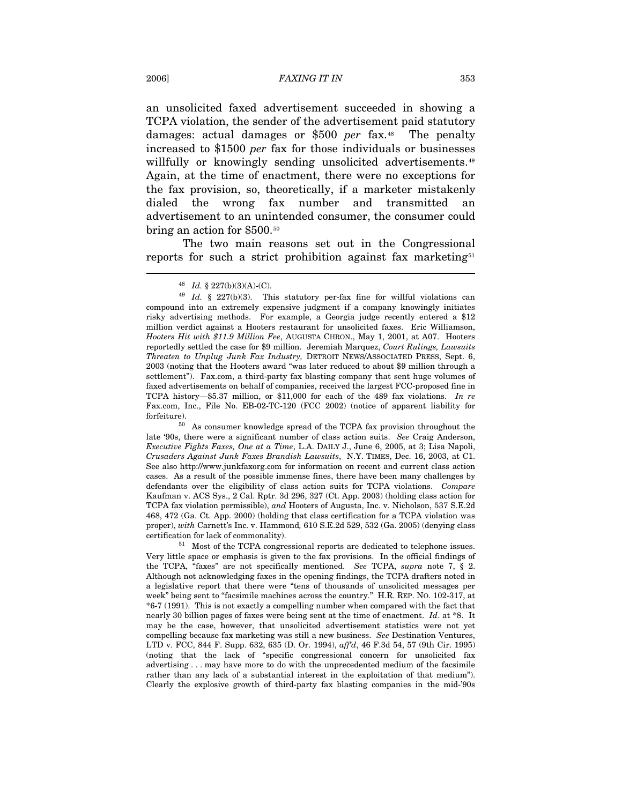an unsolicited faxed advertisement succeeded in showing a TCPA violation, the sender of the advertisement paid statutory damages: actual damages or \$500 *per* fax.[48](#page-9-0) The penalty increased to \$1500 *per* fax for those individuals or businesses willfully or knowingly sending unsolicited advertisements.<sup>[49](#page-9-1)</sup> Again, at the time of enactment, there were no exceptions for the fax provision, so, theoretically, if a marketer mistakenly dialed the wrong fax number and transmitted an advertisement to an unintended consumer, the consumer could bring an action for \$500.[50](#page-9-2)

The two main reasons set out in the Congressional reports for such a strict prohibition against fax marketing<sup>[51](#page-9-3)</sup>

<span id="page-9-2"></span>late '90s, there were a significant number of class action suits. *See* Craig Anderson, *Executive Fights Faxes, One at a Time*, L.A. DAILY J., June 6, 2005, at 3; Lisa Napoli, *Crusaders Against Junk Faxes Brandish Lawsuits*, N.Y. TIMES, Dec. 16, 2003, at C1. See also http://www.junkfaxorg.com for information on recent and current class action cases. As a result of the possible immense fines, there have been many challenges by defendants over the eligibility of class action suits for TCPA violations. *Compare* Kaufman v. ACS Sys., 2 Cal. Rptr. 3d 296, 327 (Ct. App. 2003) (holding class action for TCPA fax violation permissible), *and* Hooters of Augusta, Inc. v. Nicholson, 537 S.E.2d 468, 472 (Ga. Ct. App. 2000) (holding that class certification for a TCPA violation was proper), *with* Carnett's Inc. v. Hammond*,* 610 S.E.2d 529, 532 (Ga. 2005) (denying class certification for lack of commonality). 51 Most of the TCPA congressional reports are dedicated to telephone issues.

<span id="page-9-3"></span>Very little space or emphasis is given to the fax provisions. In the official findings of the TCPA, "faxes" are not specifically mentioned. *See* TCPA, *supra* note 7, § 2. Although not acknowledging faxes in the opening findings, the TCPA drafters noted in a legislative report that there were "tens of thousands of unsolicited messages per week" being sent to "facsimile machines across the country." H.R. REP. NO. 102-317, at \*6-7 (1991). This is not exactly a compelling number when compared with the fact that nearly 30 billion pages of faxes were being sent at the time of enactment. *Id*. at \*8. It may be the case, however, that unsolicited advertisement statistics were not yet compelling because fax marketing was still a new business. *See* Destination Ventures, LTD v. FCC, 844 F. Supp. 632, 635 (D. Or. 1994), *aff'd*, 46 F.3d 54, 57 (9th Cir. 1995) (noting that the lack of "specific congressional concern for unsolicited fax advertising . . . may have more to do with the unprecedented medium of the facsimile rather than any lack of a substantial interest in the exploitation of that medium"). Clearly the explosive growth of third-party fax blasting companies in the mid-'90s

<span id="page-9-1"></span><span id="page-9-0"></span><sup>&</sup>lt;sup>48</sup> *Id.* § 227(b)(3)(A)-(C).<br><sup>49</sup> *Id.* § 227(b)(3). This statutory per-fax fine for willful violations can compound into an extremely expensive judgment if a company knowingly initiates risky advertising methods. For example, a Georgia judge recently entered a \$12 million verdict against a Hooters restaurant for unsolicited faxes. Eric Williamson, *Hooters Hit with \$11.9 Million Fee*, AUGUSTA CHRON., May 1, 2001, at A07. Hooters reportedly settled the case for \$9 million. Jeremiah Marquez, *Court Rulings, Lawsuits Threaten to Unplug Junk Fax Industry,* DETROIT NEWS/ASSOCIATED PRESS, Sept. 6, 2003 (noting that the Hooters award "was later reduced to about \$9 million through a settlement"). Fax.com, a third-party fax blasting company that sent huge volumes of faxed advertisements on behalf of companies, received the largest FCC-proposed fine in TCPA history—\$5.37 million, or \$11,000 for each of the 489 fax violations. *In re* Fax.com, Inc., File No. EB-02-TC-120 (FCC 2002) (notice of apparent liability for forfeiture). 50 As consumer knowledge spread of the TCPA fax provision throughout the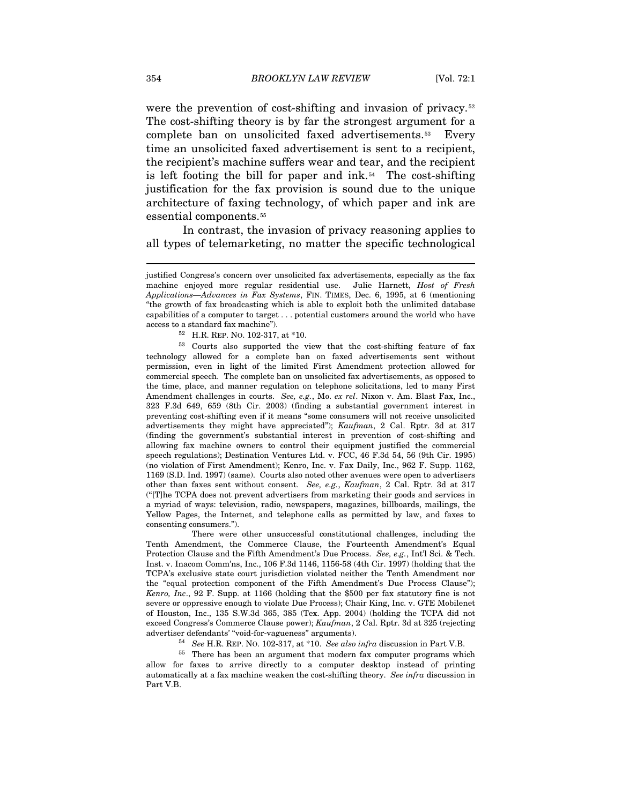were the prevention of cost-shifting and invasion of privacy.<sup>[52](#page-10-0)</sup> The cost-shifting theory is by far the strongest argument for a complete ban on unsolicited faxed advertisements.[53](#page-10-1) Every time an unsolicited faxed advertisement is sent to a recipient, the recipient's machine suffers wear and tear, and the recipient is left footing the bill for paper and  $ink.54$  $ink.54$  The cost-shifting justification for the fax provision is sound due to the unique architecture of faxing technology, of which paper and ink are essential components.[55](#page-10-3)

In contrast, the invasion of privacy reasoning applies to all types of telemarketing, no matter the specific technological

<span id="page-10-1"></span><span id="page-10-0"></span>53 Courts also supported the view that the cost-shifting feature of fax technology allowed for a complete ban on faxed advertisements sent without permission, even in light of the limited First Amendment protection allowed for commercial speech. The complete ban on unsolicited fax advertisements, as opposed to the time, place, and manner regulation on telephone solicitations, led to many First Amendment challenges in courts. *See, e.g.*, Mo. *ex rel*. Nixon v. Am. Blast Fax, Inc., 323 F.3d 649, 659 (8th Cir. 2003) (finding a substantial government interest in preventing cost-shifting even if it means "some consumers will not receive unsolicited advertisements they might have appreciated"); *Kaufman*, 2 Cal. Rptr. 3d at 317 (finding the government's substantial interest in prevention of cost-shifting and allowing fax machine owners to control their equipment justified the commercial speech regulations); Destination Ventures Ltd. v. FCC, 46 F.3d 54, 56 (9th Cir. 1995) (no violation of First Amendment); Kenro, Inc. v. Fax Daily, Inc., 962 F. Supp. 1162, 1169 (S.D. Ind. 1997) (same). Courts also noted other avenues were open to advertisers other than faxes sent without consent. *See, e.g.*, *Kaufman*, 2 Cal. Rptr. 3d at 317 ("[T]he TCPA does not prevent advertisers from marketing their goods and services in a myriad of ways: television, radio, newspapers, magazines, billboards, mailings, the Yellow Pages, the Internet, and telephone calls as permitted by law, and faxes to consenting consumers.").

 There were other unsuccessful constitutional challenges, including the Tenth Amendment, the Commerce Clause, the Fourteenth Amendment's Equal Protection Clause and the Fifth Amendment's Due Process. *See, e.g.*, Int'l Sci. & Tech. Inst. v. Inacom Comm'ns, Inc., 106 F.3d 1146, 1156-58 (4th Cir. 1997) (holding that the TCPA's exclusive state court jurisdiction violated neither the Tenth Amendment nor the "equal protection component of the Fifth Amendment's Due Process Clause"); *Kenro, Inc*., 92 F. Supp. at 1166 (holding that the \$500 per fax statutory fine is not severe or oppressive enough to violate Due Process); Chair King, Inc. v. GTE Mobilenet of Houston, Inc., 135 S.W.3d 365, 385 (Tex. App. 2004) (holding the TCPA did not exceed Congress's Commerce Clause power); *Kaufman*, 2 Cal. Rptr. 3d at 325 (rejecting advertiser defendants' "void-for-vagueness" arguments).<br><sup>54</sup> *See* H.R. REP. NO. 102-317, at \*10. *See also infra* discussion in Part V.B.<br><sup>55</sup> There has been an argument that modern fax computer programs which

<span id="page-10-3"></span><span id="page-10-2"></span>allow for faxes to arrive directly to a computer desktop instead of printing automatically at a fax machine weaken the cost-shifting theory. *See infra* discussion in Part V.B.

justified Congress's concern over unsolicited fax advertisements, especially as the fax machine enjoyed more regular residential use. Julie Harnett, *Host of Fresh Applications—Advances in Fax Systems*, FIN. TIMES, Dec. 6, 1995, at 6 (mentioning "the growth of fax broadcasting which is able to exploit both the unlimited database capabilities of a computer to target . . . potential customers around the world who have access to a standard fax machine").<br> $^{52}$  H.R. REP. No. 102-317, at \*10.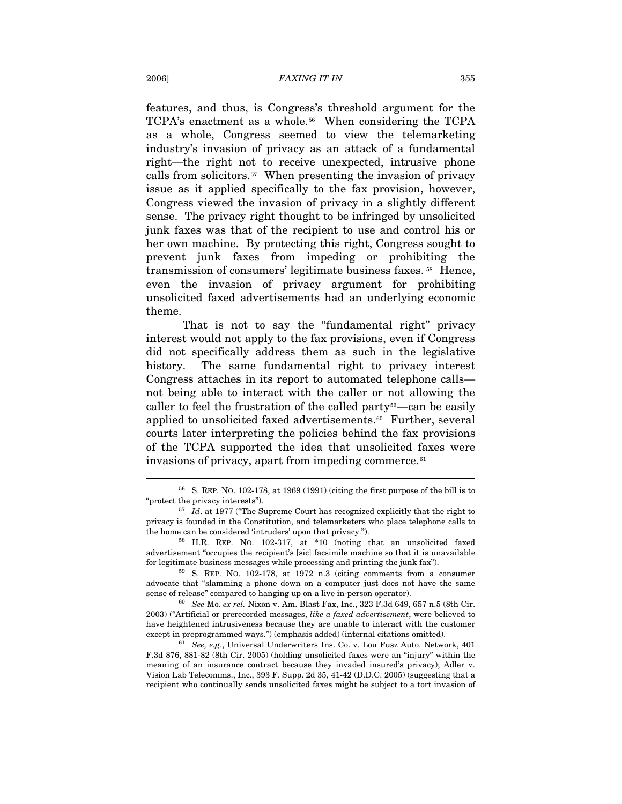features, and thus, is Congress's threshold argument for the TCPA's enactment as a whole.<sup>[56](#page-11-0)</sup> When considering the TCPA as a whole, Congress seemed to view the telemarketing industry's invasion of privacy as an attack of a fundamental right—the right not to receive unexpected, intrusive phone calls from solicitors.[57](#page-11-1) When presenting the invasion of privacy issue as it applied specifically to the fax provision, however, Congress viewed the invasion of privacy in a slightly different sense. The privacy right thought to be infringed by unsolicited junk faxes was that of the recipient to use and control his or her own machine. By protecting this right, Congress sought to prevent junk faxes from impeding or prohibiting the transmission of consumers' legitimate business faxes. [58](#page-11-2) Hence, even the invasion of privacy argument for prohibiting unsolicited faxed advertisements had an underlying economic theme.

That is not to say the "fundamental right" privacy interest would not apply to the fax provisions, even if Congress did not specifically address them as such in the legislative history. The same fundamental right to privacy interest Congress attaches in its report to automated telephone calls not being able to interact with the caller or not allowing the caller to feel the frustration of the called party[59](#page-11-3)—can be easily applied to unsolicited faxed advertisements.<sup>[60](#page-11-4)</sup> Further, several courts later interpreting the policies behind the fax provisions of the TCPA supported the idea that unsolicited faxes were invasions of privacy, apart from impeding commerce.<sup>[61](#page-11-5)</sup>

<span id="page-11-0"></span><sup>56</sup> S. REP. NO. 102-178, at 1969 (1991) (citing the first purpose of the bill is to "protect the privacy interests"). 57 *Id*. at 1977 ("The Supreme Court has recognized explicitly that the right to

<span id="page-11-1"></span>privacy is founded in the Constitution, and telemarketers who place telephone calls to the home can be considered 'intruders' upon that privacy.").

<span id="page-11-2"></span> $58$  H.R. REP. NO. 102-317, at  $*10$  (noting that an unsolicited faxed advertisement "occupies the recipient's [sic] facsimile machine so that it is unavailable for legitimate business messages while processing and printing the junk fax").<br><sup>59</sup> S. REP. NO. 102-178, at 1972 n.3 (citing comments from a consumer

<span id="page-11-3"></span>advocate that "slamming a phone down on a computer just does not have the same sense of release" compared to hanging up on a live in-person operator). 60 *See* Mo. *ex rel.* Nixon v. Am. Blast Fax, Inc., 323 F.3d 649, 657 n.5 (8th Cir.

<span id="page-11-4"></span><sup>2003) (&</sup>quot;Artificial or prerecorded messages, *like a faxed advertisement*, were believed to have heightened intrusiveness because they are unable to interact with the customer except in preprogrammed ways.") (emphasis added) (internal citations omitted). 61 *See, e.g.*, Universal Underwriters Ins. Co. v. Lou Fusz Auto. Network, 401

<span id="page-11-5"></span>F.3d 876, 881-82 (8th Cir. 2005) (holding unsolicited faxes were an "injury" within the meaning of an insurance contract because they invaded insured's privacy); Adler v. Vision Lab Telecomms., Inc., 393 F. Supp. 2d 35, 41-42 (D.D.C. 2005) (suggesting that a recipient who continually sends unsolicited faxes might be subject to a tort invasion of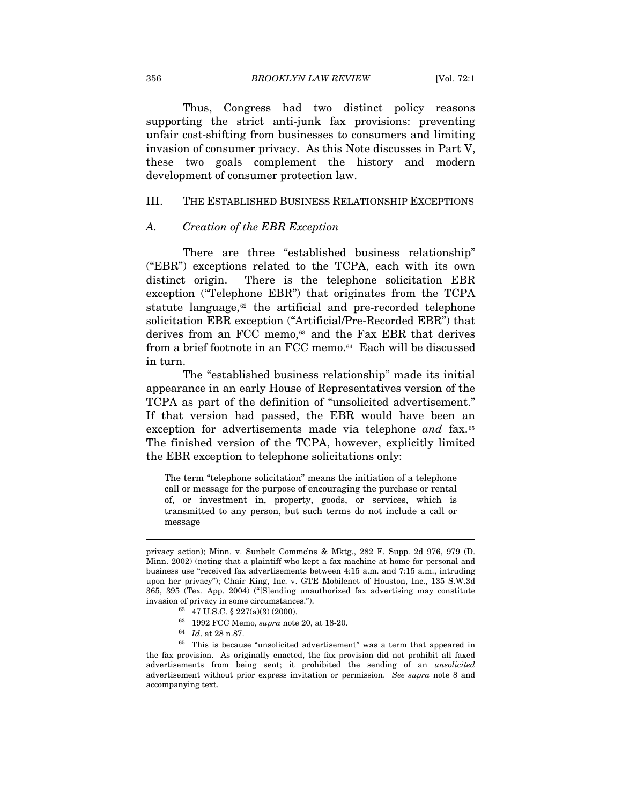356 *BROOKLYN LAW REVIEW* [Vol. 72:1

Thus, Congress had two distinct policy reasons supporting the strict anti-junk fax provisions: preventing unfair cost-shifting from businesses to consumers and limiting invasion of consumer privacy. As this Note discusses in Part V, these two goals complement the history and modern development of consumer protection law.

## III. THE ESTABLISHED BUSINESS RELATIONSHIP EXCEPTIONS

#### *A. Creation of the EBR Exception*

There are three "established business relationship" ("EBR") exceptions related to the TCPA, each with its own distinct origin. There is the telephone solicitation EBR exception ("Telephone EBR") that originates from the TCPA statute language, $62$  the artificial and pre-recorded telephone solicitation EBR exception ("Artificial/Pre-Recorded EBR") that derives from an FCC memo,<sup>[63](#page-12-1)</sup> and the Fax EBR that derives from a brief footnote in an FCC memo.<sup>[64](#page-12-2)</sup> Each will be discussed in turn.

The "established business relationship" made its initial appearance in an early House of Representatives version of the TCPA as part of the definition of "unsolicited advertisement." If that version had passed, the EBR would have been an exception for advertisements made via telephone and fax.<sup>[65](#page-12-3)</sup> The finished version of the TCPA, however, explicitly limited the EBR exception to telephone solicitations only:

The term "telephone solicitation" means the initiation of a telephone call or message for the purpose of encouraging the purchase or rental of, or investment in, property, goods, or services, which is transmitted to any person, but such terms do not include a call or message

- 
- 

privacy action); Minn. v. Sunbelt Commc'ns & Mktg., 282 F. Supp. 2d 976, 979 (D. Minn. 2002) (noting that a plaintiff who kept a fax machine at home for personal and business use "received fax advertisements between 4:15 a.m. and 7:15 a.m., intruding upon her privacy"); Chair King, Inc. v. GTE Mobilenet of Houston, Inc., 135 S.W.3d 365, 395 (Tex. App. 2004) ("[S]ending unauthorized fax advertising may constitute invasion of privacy in some circumstances.").

<sup>62 47</sup> U.S.C. § 227(a)(3) (2000).

<span id="page-12-3"></span><span id="page-12-2"></span><span id="page-12-1"></span><span id="page-12-0"></span><sup>&</sup>lt;sup>63</sup> 1992 FCC Memo, *supra* note 20, at 18-20.<br><sup>64</sup> *Id*. at 28 n.87.<br><sup>65</sup> This is because "unsolicited advertisement" was a term that appeared in the fax provision. As originally enacted, the fax provision did not prohibit all faxed advertisements from being sent; it prohibited the sending of an *unsolicited* advertisement without prior express invitation or permission. *See supra* note 8 and accompanying text.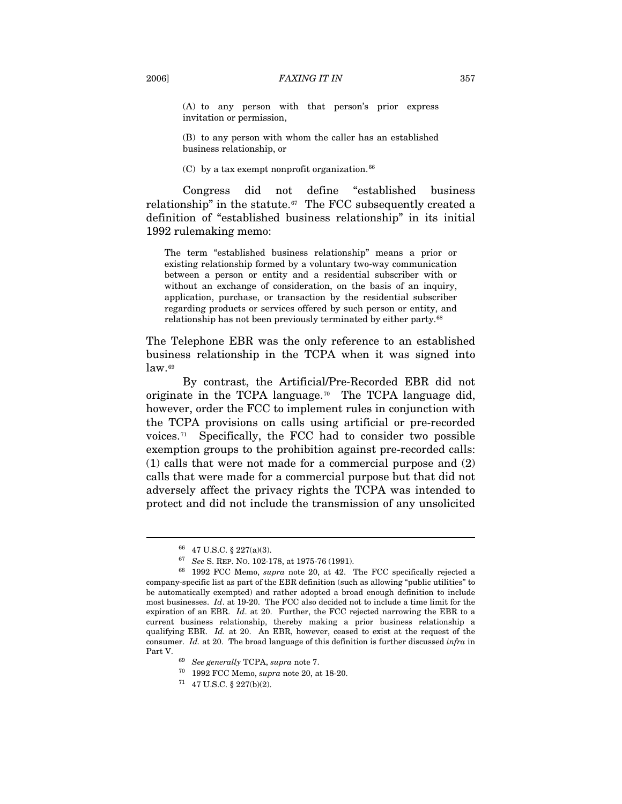#### 2006] *FAXING IT IN* 357

(A) to any person with that person's prior express invitation or permission,

(B) to any person with whom the caller has an established business relationship, or

(C) by a tax exempt nonprofit organization. $66$ 

Congress did not define "established business relationship" in the statute. $67$  The FCC subsequently created a definition of "established business relationship" in its initial 1992 rulemaking memo:

The term "established business relationship" means a prior or existing relationship formed by a voluntary two-way communication between a person or entity and a residential subscriber with or without an exchange of consideration, on the basis of an inquiry, application, purchase, or transaction by the residential subscriber regarding products or services offered by such person or entity, and relationship has not been previously terminated by either party.<sup>[68](#page-13-2)</sup>

The Telephone EBR was the only reference to an established business relationship in the TCPA when it was signed into law.[69](#page-13-3)

By contrast, the Artificial/Pre-Recorded EBR did not originate in the TCPA language.[70](#page-13-4) The TCPA language did, however, order the FCC to implement rules in conjunction with the TCPA provisions on calls using artificial or pre-recorded voices.<sup> $71$ </sup> Specifically, the FCC had to consider two possible exemption groups to the prohibition against pre-recorded calls: (1) calls that were not made for a commercial purpose and (2) calls that were made for a commercial purpose but that did not adversely affect the privacy rights the TCPA was intended to protect and did not include the transmission of any unsolicited

<span id="page-13-5"></span><span id="page-13-4"></span>

<sup>66 47</sup> U.S.C. § 227(a)(3).

<span id="page-13-3"></span><span id="page-13-2"></span><span id="page-13-1"></span><span id="page-13-0"></span><sup>67</sup> *See* S. REP. NO. 102-178, at 1975-76 (1991). 68 1992 FCC Memo, *supra* note 20, at 42. The FCC specifically rejected a company-specific list as part of the EBR definition (such as allowing "public utilities" to be automatically exempted) and rather adopted a broad enough definition to include most businesses. *Id*. at 19-20. The FCC also decided not to include a time limit for the expiration of an EBR. *Id*. at 20. Further, the FCC rejected narrowing the EBR to a current business relationship, thereby making a prior business relationship a qualifying EBR. *Id.* at 20. An EBR, however, ceased to exist at the request of the consumer. *Id.* at 20. The broad language of this definition is further discussed *infra* in Part V. 69 *See generally* TCPA, *supra* note 7. 70 1992 FCC Memo, *supra* note 20, at 18-20. 71 47 U.S.C. § 227(b)(2).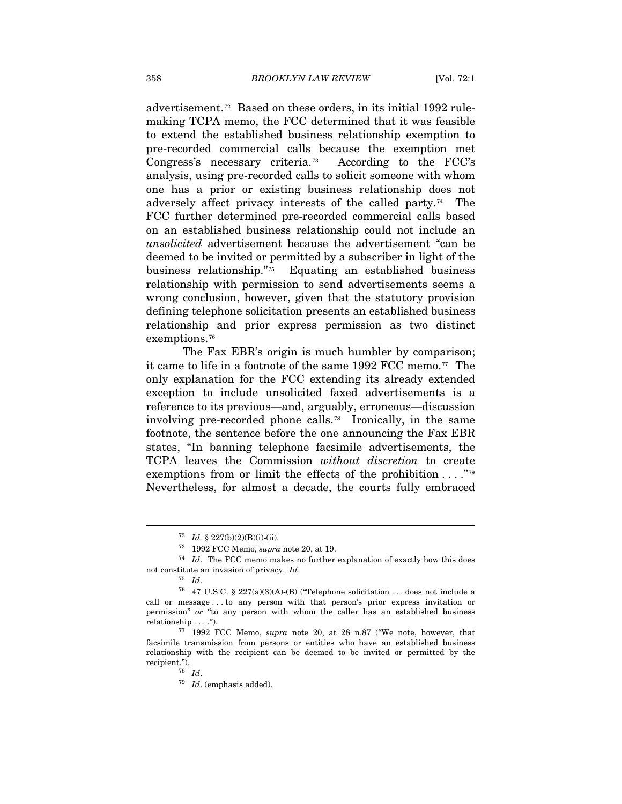advertisement.[72](#page-14-0) Based on these orders, in its initial 1992 rulemaking TCPA memo, the FCC determined that it was feasible to extend the established business relationship exemption to pre-recorded commercial calls because the exemption met Congress's necessary criteria.[73](#page-14-1) According to the FCC's analysis, using pre-recorded calls to solicit someone with whom one has a prior or existing business relationship does not adversely affect privacy interests of the called party.[74](#page-14-2) The FCC further determined pre-recorded commercial calls based on an established business relationship could not include an *unsolicited* advertisement because the advertisement "can be deemed to be invited or permitted by a subscriber in light of the business relationship."[75](#page-14-3) Equating an established business relationship with permission to send advertisements seems a wrong conclusion, however, given that the statutory provision defining telephone solicitation presents an established business relationship and prior express permission as two distinct exemptions.<sup>[76](#page-14-4)</sup>

The Fax EBR's origin is much humbler by comparison; it came to life in a footnote of the same 1992 FCC memo.[77](#page-14-5) The only explanation for the FCC extending its already extended exception to include unsolicited faxed advertisements is a reference to its previous—and, arguably, erroneous—discussion involving pre-recorded phone calls.[78](#page-14-6) Ironically, in the same footnote, the sentence before the one announcing the Fax EBR states, "In banning telephone facsimile advertisements, the TCPA leaves the Commission *without discretion* to create exemptions from or limit the effects of the prohibition  $\dots$ ."<sup>[79](#page-14-7)</sup> Nevertheless, for almost a decade, the courts fully embraced

<span id="page-14-2"></span><span id="page-14-1"></span><span id="page-14-0"></span><sup>72</sup> *Id.* § 227(b)(2)(B)(i)-(ii). 73 1992 FCC Memo, *supra* note 20, at 19. 74 *Id*. The FCC memo makes no further explanation of exactly how this does not constitute an invasion of privacy. *Id*.  $^{75}$  *Id*.  $^{76}$  47 U.S.C. § 227(a)(3)(A)-(B) ("Telephone solicitation . . . does not include a

<span id="page-14-4"></span><span id="page-14-3"></span>call or message . . . to any person with that person's prior express invitation or permission" *or* "to any person with whom the caller has an established business relationship . . . .").

<span id="page-14-7"></span><span id="page-14-6"></span><span id="page-14-5"></span><sup>77 1992</sup> FCC Memo, *supra* note 20, at 28 n.87 ("We note, however, that facsimile transmission from persons or entities who have an established business relationship with the recipient can be deemed to be invited or permitted by the recipient.").<br>
<sup>78</sup> *Id*.<br>
<sup>79</sup> *Id*. (emphasis added).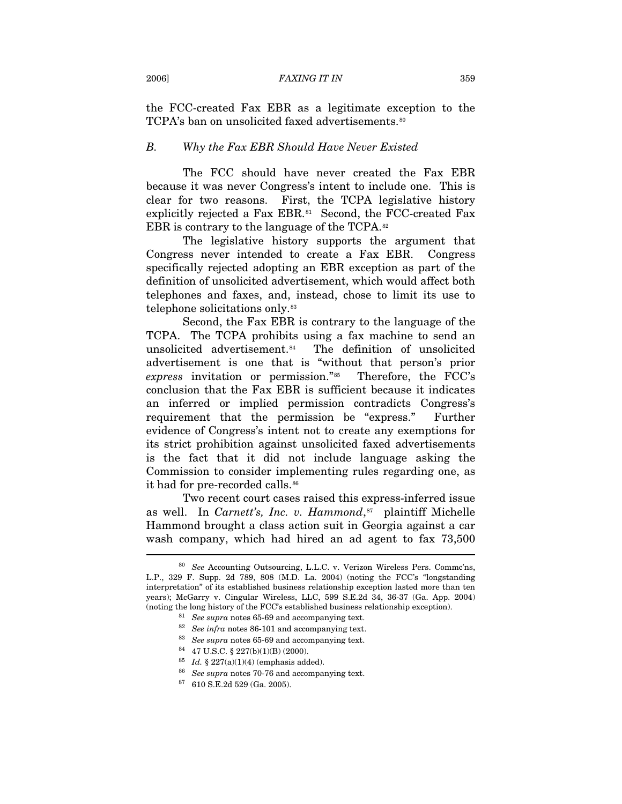the FCC-created Fax EBR as a legitimate exception to the TCPA's ban on unsolicited faxed advertisements.<sup>[80](#page-15-0)</sup>

#### *B. Why the Fax EBR Should Have Never Existed*

The FCC should have never created the Fax EBR because it was never Congress's intent to include one. This is clear for two reasons. First, the TCPA legislative history explicitly rejected a Fax EBR.<sup>[81](#page-15-1)</sup> Second, the FCC-created Fax EBR is contrary to the language of the TCPA.<sup>[82](#page-15-2)</sup>

The legislative history supports the argument that Congress never intended to create a Fax EBR. Congress specifically rejected adopting an EBR exception as part of the definition of unsolicited advertisement, which would affect both telephones and faxes, and, instead, chose to limit its use to telephone solicitations only.[83](#page-15-3)

Second, the Fax EBR is contrary to the language of the TCPA. The TCPA prohibits using a fax machine to send an unsolicited advertisement.<sup>[84](#page-15-4)</sup> The definition of unsolicited advertisement is one that is "without that person's prior *express* invitation or permission."[85](#page-15-5) Therefore, the FCC's conclusion that the Fax EBR is sufficient because it indicates an inferred or implied permission contradicts Congress's requirement that the permission be "express." Further evidence of Congress's intent not to create any exemptions for its strict prohibition against unsolicited faxed advertisements is the fact that it did not include language asking the Commission to consider implementing rules regarding one, as it had for pre-recorded calls.<sup>[86](#page-15-6)</sup>

Two recent court cases raised this express-inferred issue as well. In *Carnett's, Inc. v. Hammond*,<sup>[87](#page-15-7)</sup> plaintiff Michelle Hammond brought a class action suit in Georgia against a car wash company, which had hired an ad agent to fax 73,500  $\overline{a}$ 

<span id="page-15-6"></span><span id="page-15-5"></span><span id="page-15-4"></span><span id="page-15-3"></span><span id="page-15-2"></span><span id="page-15-1"></span><span id="page-15-0"></span><sup>80</sup> *See* Accounting Outsourcing, L.L.C. v. Verizon Wireless Pers. Commc'ns, L.P., 329 F. Supp. 2d 789, 808 (M.D. La. 2004) (noting the FCC's "longstanding interpretation" of its established business relationship exception lasted more than ten years); McGarry v. Cingular Wireless, LLC, 599 S.E.2d 34, 36-37 (Ga. App. 2004) % (noting the long history of the FCC's established business relationship exception).<br>
<sup>81</sup> See supra notes 65-69 and accompanying text.<br>
<sup>82</sup> See infra notes 86-101 and accompanying text.<br>
<sup>83</sup> See supra notes 65-69 and

<sup>&</sup>lt;sup>85</sup> *Id.* § 227(a)(1)(4) (emphasis added).<br><sup>86</sup> *See supra* notes 70-76 and accompanying text.<br><sup>87</sup> 610 S.E.2d 529 (Ga. 2005).

<span id="page-15-7"></span>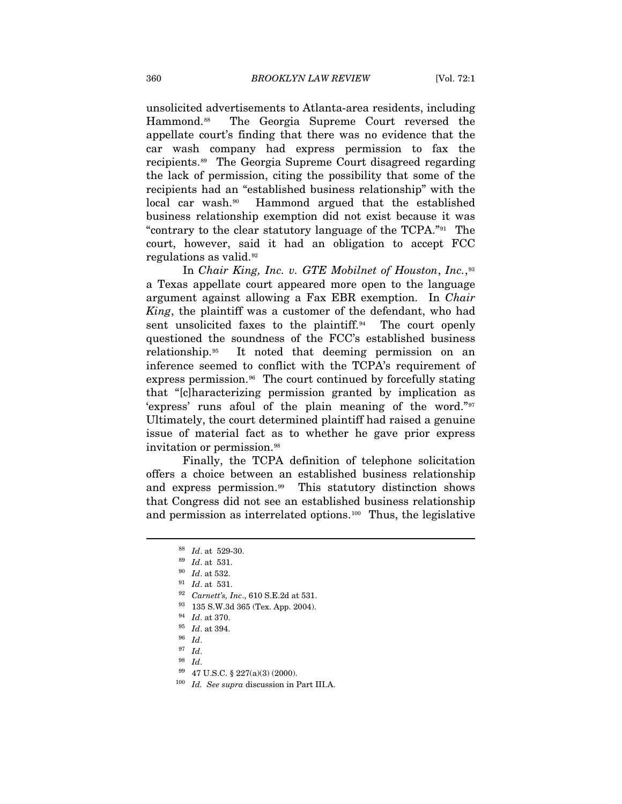unsolicited advertisements to Atlanta-area residents, including Hammond.[88](#page-16-0) The Georgia Supreme Court reversed the appellate court's finding that there was no evidence that the car wash company had express permission to fax the recipients.[89](#page-16-1) The Georgia Supreme Court disagreed regarding the lack of permission, citing the possibility that some of the recipients had an "established business relationship" with the local car wash.<sup>[90](#page-16-2)</sup> Hammond argued that the established business relationship exemption did not exist because it was "contrary to the clear statutory language of the TCPA."[91](#page-16-3) The court, however, said it had an obligation to accept FCC regulations as valid.<sup>[92](#page-16-4)</sup>

In *Chair King, Inc. v. GTE Mobilnet of Houston*, *Inc.*,[93](#page-16-5) a Texas appellate court appeared more open to the language argument against allowing a Fax EBR exemption. In *Chair King*, the plaintiff was a customer of the defendant, who had sent unsolicited faxes to the plaintiff. $94$  The court openly questioned the soundness of the FCC's established business relationship.[95](#page-16-7) It noted that deeming permission on an inference seemed to conflict with the TCPA's requirement of express permission.<sup>[96](#page-16-8)</sup> The court continued by forcefully stating that "[c]haracterizing permission granted by implication as 'express' runs afoul of the plain meaning of the word."[97](#page-16-9) Ultimately, the court determined plaintiff had raised a genuine issue of material fact as to whether he gave prior express invitation or permission.<sup>[98](#page-16-10)</sup>

<span id="page-16-0"></span>Finally, the TCPA definition of telephone solicitation offers a choice between an established business relationship and express permission.[99](#page-16-11) This statutory distinction shows that Congress did not see an established business relationship and permission as interrelated options.[100](#page-16-12) Thus, the legislative

<sup>88</sup> *Id*. at 529-30. 89 *Id*. at 531.

<span id="page-16-3"></span><span id="page-16-2"></span><span id="page-16-1"></span>

<sup>90</sup> *Id*. at 532. 91 *Id*. at 531. 92 *Carnett's, Inc*., 610 S.E.2d at 531. 93 135 S.W.3d 365 (Tex. App. 2004).

<span id="page-16-7"></span><span id="page-16-6"></span><span id="page-16-5"></span><span id="page-16-4"></span><sup>94</sup> *Id*. at 370. 95 *Id*. at 394. 96 *Id*. 97 *Id*.

<span id="page-16-12"></span><span id="page-16-11"></span><span id="page-16-10"></span><span id="page-16-9"></span><span id="page-16-8"></span><sup>98</sup> *Id*. 99 47 U.S.C. § 227(a)(3) (2000). 100 *Id. See supra* discussion in Part III.A.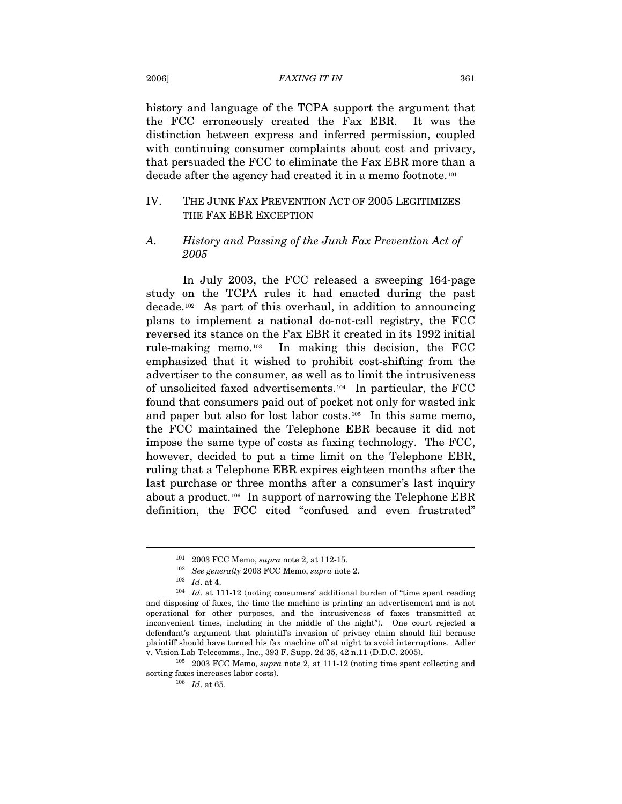#### 2006] *FAXING IT IN* 361

history and language of the TCPA support the argument that the FCC erroneously created the Fax EBR. It was the distinction between express and inferred permission, coupled with continuing consumer complaints about cost and privacy, that persuaded the FCC to eliminate the Fax EBR more than a decade after the agency had created it in a memo footnote.[101](#page-17-0)

# IV. THE JUNK FAX PREVENTION ACT OF 2005 LEGITIMIZES THE FAX EBR EXCEPTION

# *A. History and Passing of the Junk Fax Prevention Act of 2005*

In July 2003, the FCC released a sweeping 164-page study on the TCPA rules it had enacted during the past decade.[102](#page-17-1) As part of this overhaul, in addition to announcing plans to implement a national do-not-call registry, the FCC reversed its stance on the Fax EBR it created in its 1992 initial rule-making memo.[103](#page-17-2) In making this decision, the FCC emphasized that it wished to prohibit cost-shifting from the advertiser to the consumer, as well as to limit the intrusiveness of unsolicited faxed advertisements.[104](#page-17-3) In particular, the FCC found that consumers paid out of pocket not only for wasted ink and paper but also for lost labor costs.[105](#page-17-4) In this same memo, the FCC maintained the Telephone EBR because it did not impose the same type of costs as faxing technology. The FCC, however, decided to put a time limit on the Telephone EBR, ruling that a Telephone EBR expires eighteen months after the last purchase or three months after a consumer's last inquiry about a product.<sup>[106](#page-17-5)</sup> In support of narrowing the Telephone EBR definition, the FCC cited "confused and even frustrated"

<sup>101 2003</sup> FCC Memo, *supra* note 2, at 112-15. 102 *See generally* 2003 FCC Memo, *supra* note 2. 103 *Id*. at 4.

<span id="page-17-3"></span><span id="page-17-2"></span><span id="page-17-1"></span><span id="page-17-0"></span><sup>104</sup> *Id*. at 111-12 (noting consumers' additional burden of "time spent reading and disposing of faxes, the time the machine is printing an advertisement and is not operational for other purposes, and the intrusiveness of faxes transmitted at inconvenient times, including in the middle of the night"). One court rejected a defendant's argument that plaintiff's invasion of privacy claim should fail because plaintiff should have turned his fax machine off at night to avoid interruptions. Adler

<span id="page-17-5"></span><span id="page-17-4"></span>v. Vision Lab Telecomms., Inc., 393 F. Supp. 2d 35, 42 n.11 (D.D.C. 2005). 105 2003 FCC Memo, *supra* note 2, at 111-12 (noting time spent collecting and sorting faxes increases labor costs). 106 *Id*. at 65.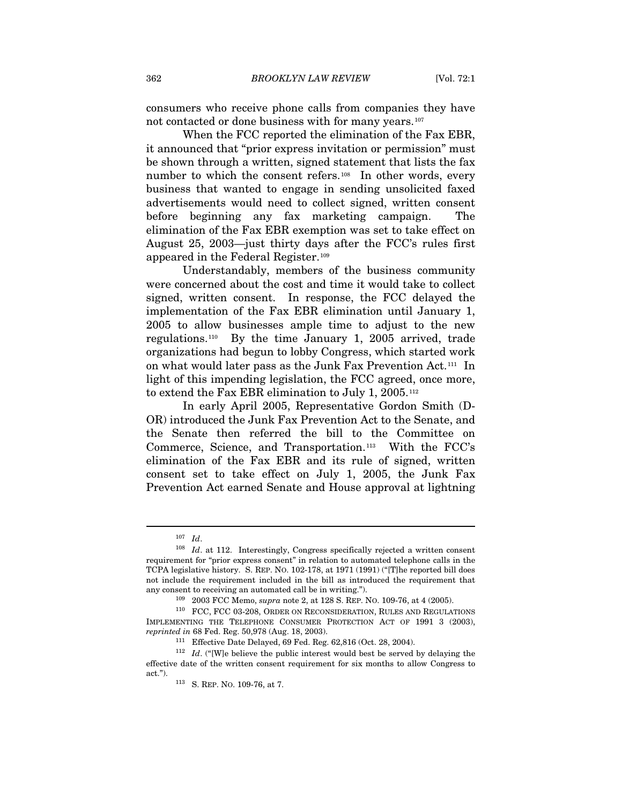consumers who receive phone calls from companies they have not contacted or done business with for many years.[107](#page-18-0)

When the FCC reported the elimination of the Fax EBR, it announced that "prior express invitation or permission" must be shown through a written, signed statement that lists the fax number to which the consent refers.<sup>[108](#page-18-1)</sup> In other words, every business that wanted to engage in sending unsolicited faxed advertisements would need to collect signed, written consent before beginning any fax marketing campaign. The elimination of the Fax EBR exemption was set to take effect on August 25, 2003—just thirty days after the FCC's rules first appeared in the Federal Register.[109](#page-18-2)

Understandably, members of the business community were concerned about the cost and time it would take to collect signed, written consent. In response, the FCC delayed the implementation of the Fax EBR elimination until January 1, 2005 to allow businesses ample time to adjust to the new regulations.[110](#page-18-3) By the time January 1, 2005 arrived, trade organizations had begun to lobby Congress, which started work on what would later pass as the Junk Fax Prevention Act.[111](#page-18-4) In light of this impending legislation, the FCC agreed, once more, to extend the Fax EBR elimination to July 1, 2005.[112](#page-18-5)

In early April 2005, Representative Gordon Smith (D-OR) introduced the Junk Fax Prevention Act to the Senate, and the Senate then referred the bill to the Committee on Commerce, Science, and Transportation.[113](#page-18-6) With the FCC's elimination of the Fax EBR and its rule of signed, written consent set to take effect on July 1, 2005, the Junk Fax Prevention Act earned Senate and House approval at lightning

<span id="page-18-1"></span><span id="page-18-0"></span><sup>107</sup> *Id*. 108 *Id*. at 112. Interestingly, Congress specifically rejected a written consent requirement for "prior express consent" in relation to automated telephone calls in the TCPA legislative history. S. REP. NO. 102-178, at 1971 (1991) ("[T]he reported bill does not include the requirement included in the bill as introduced the requirement that any consent to receiving an automated call be in writing.").<br><sup>109</sup> 2003 FCC Memo, *supra* note 2, at 128 S. REP. NO. 109-76, at 4 (2005).<br><sup>110</sup> FCC, FCC 03-208, ORDER ON RECONSIDERATION, RULES AND REGULATIONS

<span id="page-18-3"></span><span id="page-18-2"></span>IMPLEMENTING THE TELEPHONE CONSUMER PROTECTION ACT OF 1991 3 (2003), *reprinted in* 68 Fed. Reg. 50,978 (Aug. 18, 2003).<br><sup>111</sup> Effective Date Delayed, 69 Fed. Reg. 62,816 (Oct. 28, 2004).<br><sup>112</sup> *Id.* ("[W]e believe the public interest would best be served by delaying the

<span id="page-18-6"></span><span id="page-18-5"></span><span id="page-18-4"></span>effective date of the written consent requirement for six months to allow Congress to act."). 113 S. REP. NO. 109-76, at 7.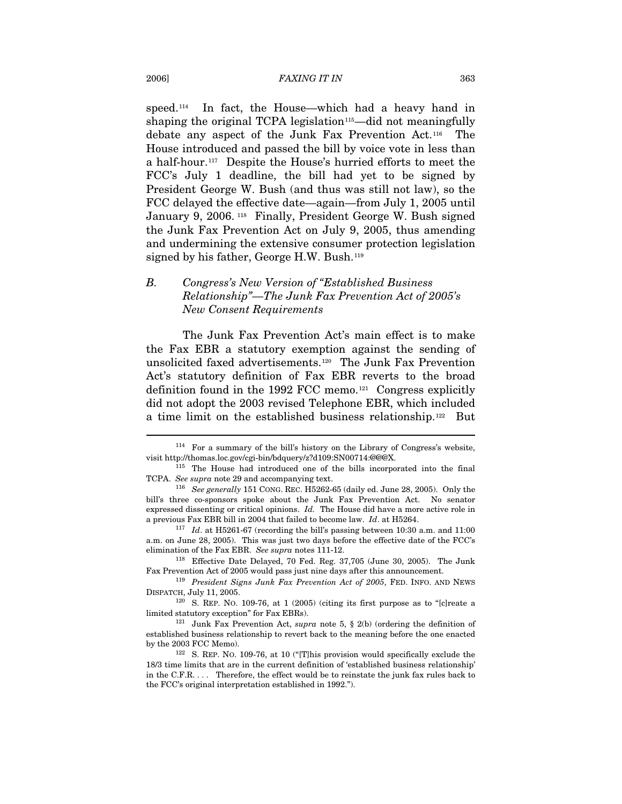speed.<sup>[114](#page-19-0)</sup> In fact, the House—which had a heavy hand in shaping the original TCPA legislation<sup>[115](#page-19-1)</sup>—did not meaningfully debate any aspect of the Junk Fax Prevention Act.[116](#page-19-2) The House introduced and passed the bill by voice vote in less than a half-hour.[117](#page-19-3) Despite the House's hurried efforts to meet the FCC's July 1 deadline, the bill had yet to be signed by President George W. Bush (and thus was still not law), so the FCC delayed the effective date—again—from July 1, 2005 until January 9, 2006.<sup>[118](#page-19-4)</sup> Finally, President George W. Bush signed the Junk Fax Prevention Act on July 9, 2005, thus amending and undermining the extensive consumer protection legislation signed by his father, George H.W. Bush.<sup>[119](#page-19-5)</sup>

# *B. Congress's New Version of "Established Business Relationship"—The Junk Fax Prevention Act of 2005's New Consent Requirements*

The Junk Fax Prevention Act's main effect is to make the Fax EBR a statutory exemption against the sending of unsolicited faxed advertisements.[120](#page-19-6) The Junk Fax Prevention Act's statutory definition of Fax EBR reverts to the broad definition found in the 1992 FCC memo.[121](#page-19-7) Congress explicitly did not adopt the 2003 revised Telephone EBR, which included a time limit on the established business relationship.[122](#page-19-8) But

<span id="page-19-0"></span><sup>114</sup> For a summary of the bill's history on the Library of Congress's website, visit http://thomas.loc.gov/cgi-bin/bdquery/z?d109:SN00714:@@@X. 115 The House had introduced one of the bills incorporated into the final

<span id="page-19-1"></span>TCPA. *See supra* note 29 and accompanying text. 116 *See generally* 151 CONG. REC. H5262-65 (daily ed. June 28, 2005). Only the

<span id="page-19-2"></span>bill's three co-sponsors spoke about the Junk Fax Prevention Act. No senator expressed dissenting or critical opinions. *Id.* The House did have a more active role in a previous Fax EBR bill in 2004 that failed to become law. *Id*. at H5264. 117 *Id*. at H5261-67 (recording the bill's passing between 10:30 a.m. and 11:00

<span id="page-19-3"></span>a.m. on June 28, 2005). This was just two days before the effective date of the FCC's elimination of the Fax EBR. *See supra* notes 111-12. 118 Effective Date Delayed, 70 Fed. Reg. 37,705 (June 30, 2005). The Junk

<span id="page-19-4"></span>Fax Prevention Act of 2005 would pass just nine days after this announcement. 119 *President Signs Junk Fax Prevention Act of 2005*, FED. INFO. AND NEWS

<span id="page-19-5"></span>DISPATCH, July 11, 2005.

<span id="page-19-6"></span> $120$  S. REP. NO. 109-76, at 1 (2005) (citing its first purpose as to "[c] reate a limited statutory exception" for Fax EBRs). 121 Junk Fax Prevention Act, *supra* note 5, § 2(b) (ordering the definition of

<span id="page-19-7"></span>established business relationship to revert back to the meaning before the one enacted by the 2003 FCC Memo).<br><sup>122</sup> S. REP. NO. 109-76, at 10 ("[T]his provision would specifically exclude the

<span id="page-19-8"></span><sup>18/3</sup> time limits that are in the current definition of 'established business relationship' in the C.F.R. . . . Therefore, the effect would be to reinstate the junk fax rules back to the FCC's original interpretation established in 1992.").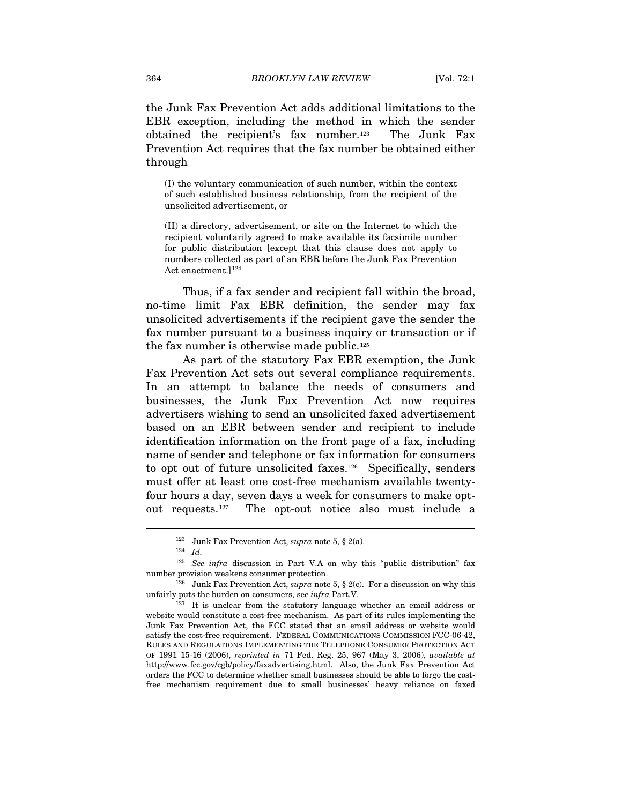the Junk Fax Prevention Act adds additional limitations to the EBR exception, including the method in which the sender obtained the recipient's fax number.[123](#page-20-0) The Junk Fax Prevention Act requires that the fax number be obtained either through

(I) the voluntary communication of such number, within the context of such established business relationship, from the recipient of the unsolicited advertisement, or

(II) a directory, advertisement, or site on the Internet to which the recipient voluntarily agreed to make available its facsimile number for public distribution [except that this clause does not apply to numbers collected as part of an EBR before the Junk Fax Prevention Act enactment.]<sup>124</sup>

Thus, if a fax sender and recipient fall within the broad, no-time limit Fax EBR definition, the sender may fax unsolicited advertisements if the recipient gave the sender the fax number pursuant to a business inquiry or transaction or if the fax number is otherwise made public.<sup>[125](#page-20-2)</sup>

As part of the statutory Fax EBR exemption, the Junk Fax Prevention Act sets out several compliance requirements. In an attempt to balance the needs of consumers and businesses, the Junk Fax Prevention Act now requires advertisers wishing to send an unsolicited faxed advertisement based on an EBR between sender and recipient to include identification information on the front page of a fax, including name of sender and telephone or fax information for consumers to opt out of future unsolicited faxes.<sup>[126](#page-20-3)</sup> Specifically, senders must offer at least one cost-free mechanism available twentyfour hours a day, seven days a week for consumers to make optout requests.[127](#page-20-4) The opt-out notice also must include a

<sup>123</sup> Junk Fax Prevention Act, *supra* note 5, § 2(a). 124 *Id.* 

<span id="page-20-2"></span><span id="page-20-1"></span><span id="page-20-0"></span><sup>125</sup> *See infra* discussion in Part V.A on why this "public distribution" fax number provision weakens consumer protection.<br><sup>126</sup> Junk Fax Prevention Act, *supra* note 5, § 2(c). For a discussion on why this

<span id="page-20-3"></span>unfairly puts the burden on consumers, see *infra* Part.V.<br><sup>127</sup> It is unclear from the statutory language whether an email address or

<span id="page-20-4"></span>website would constitute a cost-free mechanism. As part of its rules implementing the Junk Fax Prevention Act, the FCC stated that an email address or website would satisfy the cost-free requirement. FEDERAL COMMUNICATIONS COMMISSION FCC-06-42, RULES AND REGULATIONS IMPLEMENTING THE TELEPHONE CONSUMER PROTECTION ACT OF 1991 15-16 (2006), *reprinted in* 71 Fed. Reg. 25, 967 (May 3, 2006), *available at* http://www.fcc.gov/cgb/policy/faxadvertising.html. Also, the Junk Fax Prevention Act orders the FCC to determine whether small businesses should be able to forgo the costfree mechanism requirement due to small businesses' heavy reliance on faxed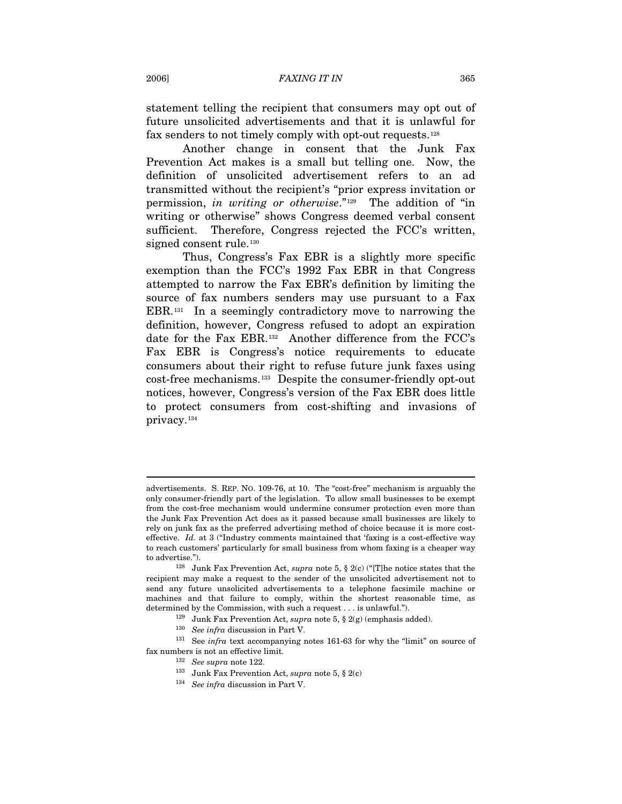statement telling the recipient that consumers may opt out of future unsolicited advertisements and that it is unlawful for fax senders to not timely comply with opt-out requests.[128](#page-21-0)

Another change in consent that the Junk Fax Prevention Act makes is a small but telling one. Now, the definition of unsolicited advertisement refers to an ad transmitted without the recipient's "prior express invitation or permission, *in writing or otherwise*."[129](#page-21-1) The addition of "in writing or otherwise" shows Congress deemed verbal consent sufficient. Therefore, Congress rejected the FCC's written, signed consent rule.<sup>[130](#page-21-2)</sup>

Thus, Congress's Fax EBR is a slightly more specific exemption than the FCC's 1992 Fax EBR in that Congress attempted to narrow the Fax EBR's definition by limiting the source of fax numbers senders may use pursuant to a Fax EBR.[131](#page-21-3) In a seemingly contradictory move to narrowing the definition, however, Congress refused to adopt an expiration date for the Fax EBR.[132](#page-21-4) Another difference from the FCC's Fax EBR is Congress's notice requirements to educate consumers about their right to refuse future junk faxes using cost-free mechanisms.[133](#page-21-5) Despite the consumer-friendly opt-out notices, however, Congress's version of the Fax EBR does little to protect consumers from cost-shifting and invasions of privacy.[134](#page-21-6)

advertisements. S. REP. NO. 109-76, at 10. The "cost-free" mechanism is arguably the only consumer-friendly part of the legislation. To allow small businesses to be exempt from the cost-free mechanism would undermine consumer protection even more than the Junk Fax Prevention Act does as it passed because small businesses are likely to rely on junk fax as the preferred advertising method of choice because it is more costeffective. *Id.* at 3 ("Industry comments maintained that 'faxing is a cost-effective way to reach customers' particularly for small business from whom faxing is a cheaper way to advertise."). 128 Junk Fax Prevention Act, *supra* note 5, § 2(c) ("[T]he notice states that the

<span id="page-21-0"></span>recipient may make a request to the sender of the unsolicited advertisement not to send any future unsolicited advertisements to a telephone facsimile machine or machines and that failure to comply, within the shortest reasonable time, as

<span id="page-21-6"></span><span id="page-21-5"></span><span id="page-21-4"></span><span id="page-21-3"></span><span id="page-21-2"></span><span id="page-21-1"></span>determined by the Commission, with such a request . . . is unlawful.").<br><sup>129</sup> Junk Fax Prevention Act, *supra* note 5, § 2(g) (emphasis added).<br><sup>130</sup> *See infra* discussion in Part V.<br><sup>131</sup> See *infra* text accompanying n fax numbers is not an effective limit. 132 *See supra* note 122. 133 Junk Fax Prevention Act, *supra* note 5, § 2(c) 134 *See infra* discussion in Part V.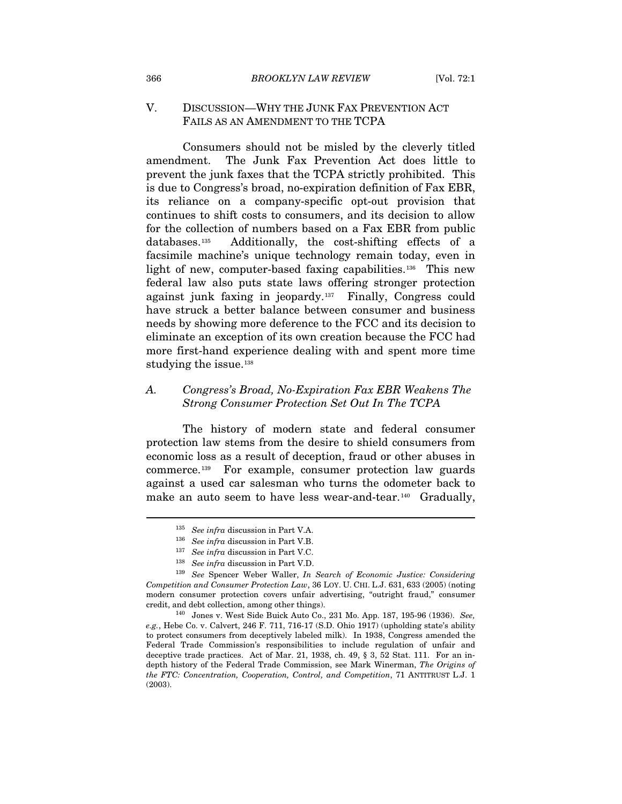### V. DISCUSSION—WHY THE JUNK FAX PREVENTION ACT FAILS AS AN AMENDMENT TO THE TCPA

Consumers should not be misled by the cleverly titled amendment. The Junk Fax Prevention Act does little to prevent the junk faxes that the TCPA strictly prohibited. This is due to Congress's broad, no-expiration definition of Fax EBR, its reliance on a company-specific opt-out provision that continues to shift costs to consumers, and its decision to allow for the collection of numbers based on a Fax EBR from public databases.[135](#page-22-0) Additionally, the cost-shifting effects of a facsimile machine's unique technology remain today, even in light of new, computer-based faxing capabilities.<sup>[136](#page-22-1)</sup> This new federal law also puts state laws offering stronger protection against junk faxing in jeopardy.[137](#page-22-2) Finally, Congress could have struck a better balance between consumer and business needs by showing more deference to the FCC and its decision to eliminate an exception of its own creation because the FCC had more first-hand experience dealing with and spent more time studying the issue.<sup>138</sup>

# *A. Congress's Broad, No-Expiration Fax EBR Weakens The Strong Consumer Protection Set Out In The TCPA*

The history of modern state and federal consumer protection law stems from the desire to shield consumers from economic loss as a result of deception, fraud or other abuses in commerce.[139](#page-22-4) For example, consumer protection law guards against a used car salesman who turns the odometer back to make an auto seem to have less wear-and-tear.<sup>[140](#page-22-5)</sup> Gradually,

<sup>135</sup> *See infra* discussion in Part V.A. 136 *See infra* discussion in Part V.B. 137 *See infra* discussion in Part V.C.

<span id="page-22-4"></span><span id="page-22-3"></span><span id="page-22-2"></span><span id="page-22-1"></span><span id="page-22-0"></span><sup>&</sup>lt;sup>138</sup> See infra discussion in Part V.D.<br><sup>139</sup> See Spencer Weber Waller, *In Search of Economic Justice: Considering Competition and Consumer Protection Law*, 36 LOY. U. CHI. L.J. 631, 633 (2005) (noting modern consumer protection covers unfair advertising, "outright fraud," consumer credit, and debt collection, among other things). 140 Jones v. West Side Buick Auto Co., 231 Mo. App. 187, 195-96 (1936). *See,* 

<span id="page-22-5"></span>*e.g.*, Hebe Co. v. Calvert, 246 F. 711, 716-17 (S.D. Ohio 1917) (upholding state's ability to protect consumers from deceptively labeled milk). In 1938, Congress amended the Federal Trade Commission's responsibilities to include regulation of unfair and deceptive trade practices. Act of Mar. 21, 1938, ch. 49,  $\S$  3, 52 Stat. 111. For an indepth history of the Federal Trade Commission, see Mark Winerman, *The Origins of the FTC: Concentration, Cooperation, Control, and Competition*, 71 ANTITRUST L.J. 1 (2003).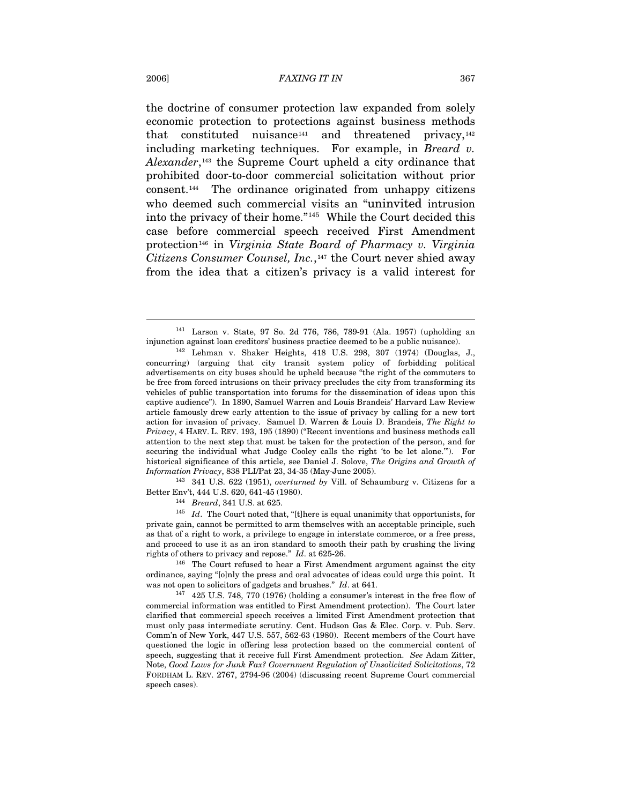the doctrine of consumer protection law expanded from solely economic protection to protections against business methods that constituted nuisance<sup>[141](#page-23-0)</sup> and threatened privacy,<sup>[142](#page-23-1)</sup> including marketing techniques. For example, in *Breard v.*  Alexander,<sup>[143](#page-23-2)</sup> the Supreme Court upheld a city ordinance that prohibited door-to-door commercial solicitation without prior consent.[144](#page-23-3) The ordinance originated from unhappy citizens who deemed such commercial visits an "uninvited intrusion into the privacy of their home."[145](#page-23-4) While the Court decided this case before commercial speech received First Amendment protection[146](#page-23-5) in *Virginia State Board of Pharmacy v. Virginia Citizens Consumer Counsel, Inc.*,[147](#page-23-6) the Court never shied away from the idea that a citizen's privacy is a valid interest for

<span id="page-23-2"></span>*Information Privacy*, 838 PLI/Pat 23, 34-35 (May-June 2005).<br><sup>143</sup> 341 U.S. 622 (1951), *overturned by* Vill. of Schaumburg v. Citizens for a<br>Better Env't, 444 U.S. 620, 641-45 (1980).

<span id="page-23-4"></span><span id="page-23-3"></span><sup>144</sup> Breard, 341 U.S. at 625. 145 (1980). <sup>145</sup> *Id.* The Court noted that, "[t]here is equal unanimity that opportunists, for private gain, cannot be permitted to arm themselves with an acceptable principle, such as that of a right to work, a privilege to engage in interstate commerce, or a free press, and proceed to use it as an iron standard to smooth their path by crushing the living

<span id="page-23-5"></span>rights of others to privacy and repose." *Id*. at 625-26. 146 The Court refused to hear a First Amendment argument against the city ordinance, saying "[o]nly the press and oral advocates of ideas could urge this point. It was not open to solicitors of gadgets and brushes."  $Id$ . at 641.

<sup>141</sup> Larson v. State, 97 So. 2d 776, 786, 789-91 (Ala. 1957) (upholding an

<span id="page-23-1"></span><span id="page-23-0"></span>injunction against loan creditors' business practice deemed to be a public nuisance). 142 Lehman v. Shaker Heights, 418 U.S. 298, 307 (1974) (Douglas, J., concurring) (arguing that city transit system policy of forbidding political advertisements on city buses should be upheld because "the right of the commuters to be free from forced intrusions on their privacy precludes the city from transforming its vehicles of public transportation into forums for the dissemination of ideas upon this captive audience"). In 1890, Samuel Warren and Louis Brandeis' Harvard Law Review article famously drew early attention to the issue of privacy by calling for a new tort action for invasion of privacy. Samuel D. Warren & Louis D. Brandeis, *The Right to Privacy*, 4 HARV. L. REV. 193, 195 (1890) ("Recent inventions and business methods call attention to the next step that must be taken for the protection of the person, and for securing the individual what Judge Cooley calls the right 'to be let alone.'"). For historical significance of this article, see Daniel J. Solove, *The Origins and Growth of* 

<span id="page-23-6"></span><sup>&</sup>lt;sup>147</sup> 425 U.S. 748, 770 (1976) (holding a consumer's interest in the free flow of commercial information was entitled to First Amendment protection). The Court later clarified that commercial speech receives a limited First Amendment protection that must only pass intermediate scrutiny. Cent. Hudson Gas & Elec. Corp. v. Pub. Serv. Comm'n of New York, 447 U.S. 557, 562-63 (1980). Recent members of the Court have questioned the logic in offering less protection based on the commercial content of speech, suggesting that it receive full First Amendment protection. *See* Adam Zitter, Note, *Good Laws for Junk Fax? Government Regulation of Unsolicited Solicitations*, 72 FORDHAM L. REV. 2767, 2794-96 (2004) (discussing recent Supreme Court commercial speech cases).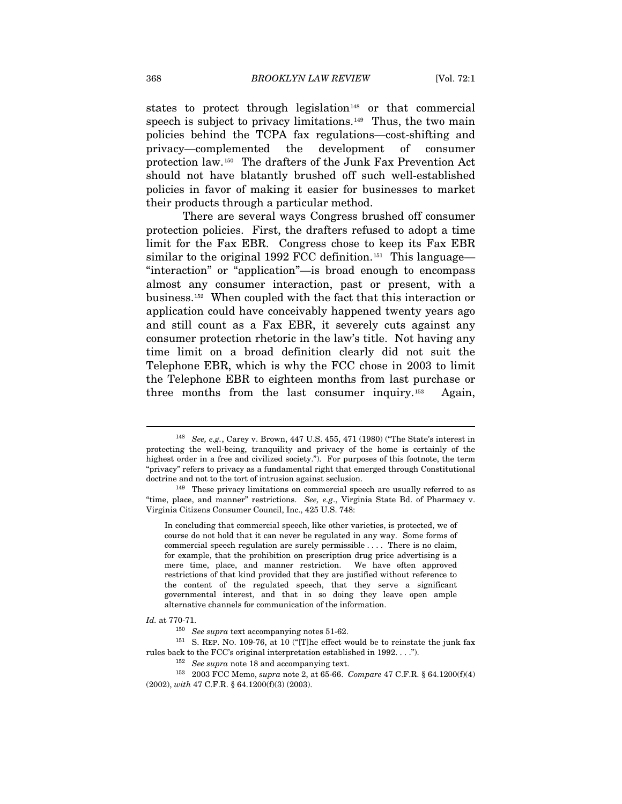states to protect through legislation<sup>[148](#page-24-0)</sup> or that commercial speech is subject to privacy limitations.<sup>[149](#page-24-1)</sup> Thus, the two main policies behind the TCPA fax regulations—cost-shifting and privacy—complemented the development of consumer protection law.[150](#page-24-2) The drafters of the Junk Fax Prevention Act should not have blatantly brushed off such well-established policies in favor of making it easier for businesses to market their products through a particular method.

There are several ways Congress brushed off consumer protection policies. First, the drafters refused to adopt a time limit for the Fax EBR. Congress chose to keep its Fax EBR similar to the original 1992 FCC definition.<sup>[151](#page-24-3)</sup> This language— "interaction" or "application"—is broad enough to encompass almost any consumer interaction, past or present, with a business.[152](#page-24-4) When coupled with the fact that this interaction or application could have conceivably happened twenty years ago and still count as a Fax EBR, it severely cuts against any consumer protection rhetoric in the law's title. Not having any time limit on a broad definition clearly did not suit the Telephone EBR, which is why the FCC chose in 2003 to limit the Telephone EBR to eighteen months from last purchase or three months from the last consumer inquiry.[153](#page-24-5) Again,

<span id="page-24-0"></span><sup>148</sup> *See, e.g.*, Carey v. Brown, 447 U.S. 455, 471 (1980) ("The State's interest in protecting the well-being, tranquility and privacy of the home is certainly of the highest order in a free and civilized society."). For purposes of this footnote, the term "privacy" refers to privacy as a fundamental right that emerged through Constitutional doctrine and not to the tort of intrusion against seclusion.<br><sup>149</sup> These privacy limitations on commercial speech are usually referred to as

<span id="page-24-1"></span><sup>&</sup>quot;time, place, and manner" restrictions. *See, e.g*., Virginia State Bd. of Pharmacy v. Virginia Citizens Consumer Council, Inc., 425 U.S. 748:

In concluding that commercial speech, like other varieties, is protected, we of course do not hold that it can never be regulated in any way. Some forms of commercial speech regulation are surely permissible . . . . There is no claim, for example, that the prohibition on prescription drug price advertising is a mere time, place, and manner restriction. We have often approved restrictions of that kind provided that they are justified without reference to the content of the regulated speech, that they serve a significant governmental interest, and that in so doing they leave open ample alternative channels for communication of the information.

<span id="page-24-2"></span>*Id.* at 770-71. 150 *See supra* text accompanying notes 51-62.

<span id="page-24-3"></span> $^{151}\,$  S. REP. NO. 109-76, at 10 ("[T]he effect would be to reinstate the junk fax rules back to the FCC's original interpretation established in 1992. . . ."). 152 *See supra* note 18 and accompanying text. 153 2003 FCC Memo, *supra* note 2, at 65-66. *Compare* 47 C.F.R. § 64.1200(f)(4)

<span id="page-24-5"></span><span id="page-24-4"></span><sup>(2002),</sup> *with* 47 C.F.R. § 64.1200(f)(3) (2003).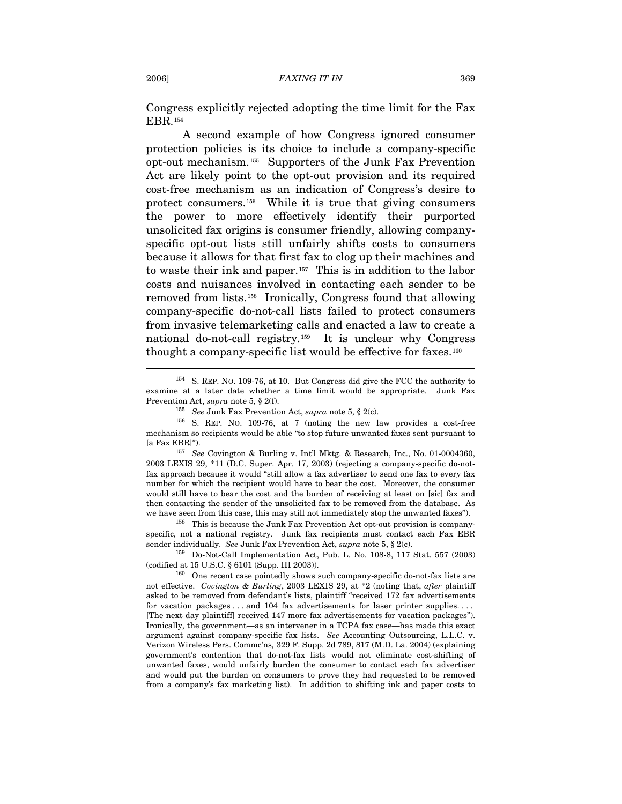Congress explicitly rejected adopting the time limit for the Fax EBR.[154](#page-25-0)

A second example of how Congress ignored consumer protection policies is its choice to include a company-specific opt-out mechanism.[155](#page-25-1) Supporters of the Junk Fax Prevention Act are likely point to the opt-out provision and its required cost-free mechanism as an indication of Congress's desire to protect consumers.[156](#page-25-2) While it is true that giving consumers the power to more effectively identify their purported unsolicited fax origins is consumer friendly, allowing companyspecific opt-out lists still unfairly shifts costs to consumers because it allows for that first fax to clog up their machines and to waste their ink and paper.[157](#page-25-3) This is in addition to the labor costs and nuisances involved in contacting each sender to be removed from lists.[158](#page-25-4) Ironically, Congress found that allowing company-specific do-not-call lists failed to protect consumers from invasive telemarketing calls and enacted a law to create a national do-not-call registry.[159](#page-25-5) It is unclear why Congress thought a company-specific list would be effective for faxes.<sup>[160](#page-25-6)</sup>

<span id="page-25-3"></span>2003 LEXIS 29, \*11 (D.C. Super. Apr. 17, 2003) (rejecting a company-specific do-notfax approach because it would "still allow a fax advertiser to send one fax to every fax number for which the recipient would have to bear the cost. Moreover, the consumer would still have to bear the cost and the burden of receiving at least on [sic] fax and then contacting the sender of the unsolicited fax to be removed from the database. As we have seen from this case, this may still not immediately stop the unwanted faxes").<br><sup>158</sup> This is because the Junk Fax Prevention Act opt-out provision is company-

<span id="page-25-4"></span>specific, not a national registry. Junk fax recipients must contact each Fax EBR sender individually. *See* Junk Fax Prevention Act, *supra* note 5, § 2(c). 159 Do-Not-Call Implementation Act, Pub. L. No. 108-8, 117 Stat. 557 (2003)

<span id="page-25-0"></span><sup>154</sup> S. REP. NO. 109-76, at 10. But Congress did give the FCC the authority to examine at a later date whether a time limit would be appropriate. Junk Fax Prevention Act, *supra* note 5, § 2(f).<br><sup>155</sup> See Junk Fax Prevention Act, *supra* note 5, § 2(c).<br><sup>156</sup> S. REP. NO. 109-76, at 7 (noting the new law provides a cost-free

<span id="page-25-2"></span><span id="page-25-1"></span>mechanism so recipients would be able "to stop future unwanted faxes sent pursuant to [a Fax EBR]"). 157 *See* Covington & Burling v. Int'l Mktg. & Research, Inc., No. 01-0004360,

<span id="page-25-5"></span><sup>(</sup>codified at 15 U.S.C. § 6101 (Supp. III 2003)).  $160$  One recent case pointedly shows such company-specific do-not-fax lists are

<span id="page-25-6"></span>not effective. *Covington & Burling*, 2003 LEXIS 29, at \*2 (noting that, *after* plaintiff asked to be removed from defendant's lists, plaintiff "received 172 fax advertisements for vacation packages . . . and 104 fax advertisements for laser printer supplies. . . . [The next day plaintiff] received 147 more fax advertisements for vacation packages"). Ironically, the government—as an intervener in a TCPA fax case—has made this exact argument against company-specific fax lists. *See* Accounting Outsourcing, L.L.C. v. Verizon Wireless Pers. Commc'ns*,* 329 F. Supp. 2d 789, 817 (M.D. La. 2004) (explaining government's contention that do-not-fax lists would not eliminate cost-shifting of unwanted faxes, would unfairly burden the consumer to contact each fax advertiser and would put the burden on consumers to prove they had requested to be removed from a company's fax marketing list). In addition to shifting ink and paper costs to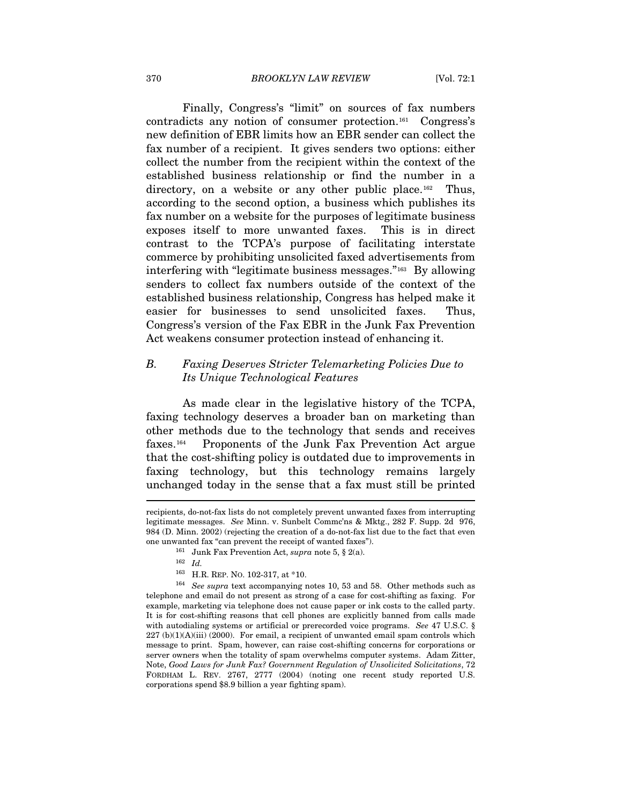Finally, Congress's "limit" on sources of fax numbers contradicts any notion of consumer protection.[161](#page-26-0) Congress's new definition of EBR limits how an EBR sender can collect the fax number of a recipient. It gives senders two options: either collect the number from the recipient within the context of the established business relationship or find the number in a directory, on a website or any other public place.<sup>[162](#page-26-1)</sup> Thus, according to the second option, a business which publishes its fax number on a website for the purposes of legitimate business exposes itself to more unwanted faxes. This is in direct contrast to the TCPA's purpose of facilitating interstate commerce by prohibiting unsolicited faxed advertisements from interfering with "legitimate business messages."[163](#page-26-2) By allowing senders to collect fax numbers outside of the context of the established business relationship, Congress has helped make it easier for businesses to send unsolicited faxes. Thus, Congress's version of the Fax EBR in the Junk Fax Prevention Act weakens consumer protection instead of enhancing it.

# *B. Faxing Deserves Stricter Telemarketing Policies Due to Its Unique Technological Features*

As made clear in the legislative history of the TCPA, faxing technology deserves a broader ban on marketing than other methods due to the technology that sends and receives faxes.[164](#page-26-3) Proponents of the Junk Fax Prevention Act argue that the cost-shifting policy is outdated due to improvements in faxing technology, but this technology remains largely unchanged today in the sense that a fax must still be printed  $\overline{a}$ 

recipients, do-not-fax lists do not completely prevent unwanted faxes from interrupting legitimate messages. *See* Minn. v. Sunbelt Commc'ns & Mktg., 282 F. Supp. 2d 976, 984 (D. Minn. 2002) (rejecting the creation of a do-not-fax list due to the fact that even one unwanted fax "can prevent the receipt of wanted faxes"). 161 Junk Fax Prevention Act, *supra* note 5, § 2(a).

<sup>&</sup>lt;sup>162</sup> *Id.* <br><sup>163</sup> H.R. REP. No. 102-317, at \*10.

<span id="page-26-3"></span><span id="page-26-2"></span><span id="page-26-1"></span><span id="page-26-0"></span><sup>&</sup>lt;sup>164</sup> See supra text accompanying notes 10, 53 and 58. Other methods such as telephone and email do not present as strong of a case for cost-shifting as faxing. For example, marketing via telephone does not cause paper or ink costs to the called party. It is for cost-shifting reasons that cell phones are explicitly banned from calls made with autodialing systems or artificial or prerecorded voice programs. *See* 47 U.S.C. §  $227$  (b) $(1)(A)(iii)$  (2000). For email, a recipient of unwanted email spam controls which message to print. Spam, however, can raise cost-shifting concerns for corporations or server owners when the totality of spam overwhelms computer systems. Adam Zitter, Note, *Good Laws for Junk Fax? Government Regulation of Unsolicited Solicitations*, 72 FORDHAM L. REV. 2767, 2777 (2004) (noting one recent study reported U.S. corporations spend \$8.9 billion a year fighting spam).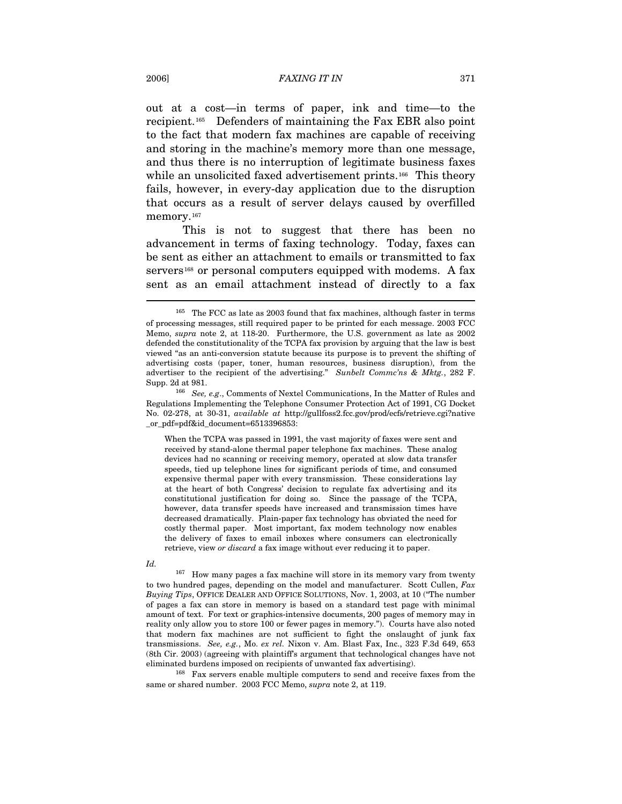out at a cost—in terms of paper, ink and time—to the recipient.[165](#page-27-0) Defenders of maintaining the Fax EBR also point to the fact that modern fax machines are capable of receiving and storing in the machine's memory more than one message, and thus there is no interruption of legitimate business faxes while an unsolicited faxed advertisement prints.<sup>[166](#page-27-1)</sup> This theory fails, however, in every-day application due to the disruption that occurs as a result of server delays caused by overfilled memory.<sup>[167](#page-27-2)</sup>

This is not to suggest that there has been no advancement in terms of faxing technology. Today, faxes can be sent as either an attachment to emails or transmitted to fax servers<sup>[168](#page-27-3)</sup> or personal computers equipped with modems. A fax sent as an email attachment instead of directly to a fax

When the TCPA was passed in 1991, the vast majority of faxes were sent and received by stand-alone thermal paper telephone fax machines. These analog devices had no scanning or receiving memory, operated at slow data transfer speeds, tied up telephone lines for significant periods of time, and consumed expensive thermal paper with every transmission. These considerations lay at the heart of both Congress' decision to regulate fax advertising and its constitutional justification for doing so. Since the passage of the TCPA, however, data transfer speeds have increased and transmission times have decreased dramatically. Plain-paper fax technology has obviated the need for costly thermal paper. Most important, fax modem technology now enables the delivery of faxes to email inboxes where consumers can electronically retrieve, view *or discard* a fax image without ever reducing it to paper.

<span id="page-27-2"></span>167 How many pages a fax machine will store in its memory vary from twenty to two hundred pages, depending on the model and manufacturer. Scott Cullen, *Fax Buying Tips*, OFFICE DEALER AND OFFICE SOLUTIONS, Nov. 1, 2003, at 10 ("The number of pages a fax can store in memory is based on a standard test page with minimal amount of text. For text or graphics-intensive documents, 200 pages of memory may in reality only allow you to store 100 or fewer pages in memory."). Courts have also noted that modern fax machines are not sufficient to fight the onslaught of junk fax transmissions. *See, e.g.*, Mo. *ex rel.* Nixon v. Am. Blast Fax, Inc., 323 F.3d 649, 653 (8th Cir. 2003) (agreeing with plaintiff's argument that technological changes have not

<span id="page-27-3"></span>eliminated burdens imposed on recipients of unwanted fax advertising). 168 Fax servers enable multiple computers to send and receive faxes from the same or shared number. 2003 FCC Memo, *supra* note 2, at 119.

<span id="page-27-0"></span><sup>165</sup> The FCC as late as 2003 found that fax machines, although faster in terms of processing messages, still required paper to be printed for each message. 2003 FCC Memo, *supra* note 2, at 118-20. Furthermore, the U.S. government as late as 2002 defended the constitutionality of the TCPA fax provision by arguing that the law is best viewed "as an anti-conversion statute because its purpose is to prevent the shifting of advertising costs (paper, toner, human resources, business disruption), from the advertiser to the recipient of the advertising." *Sunbelt Commc'ns & Mktg.*, 282 F.

<span id="page-27-1"></span>Supp. 2d at 981. 166 *See, e.g*., Comments of Nextel Communications, In the Matter of Rules and Regulations Implementing the Telephone Consumer Protection Act of 1991, CG Docket No. 02-278, at 30-31, *available at* http://gullfoss2.fcc.gov/prod/ecfs/retrieve.cgi?native \_or\_pdf=pdf&id\_document=6513396853:

*Id.*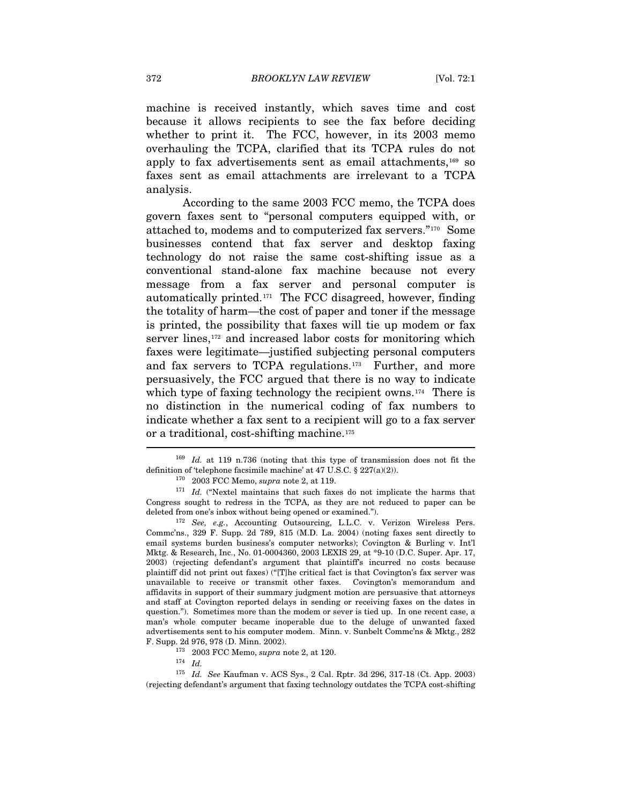machine is received instantly, which saves time and cost because it allows recipients to see the fax before deciding whether to print it. The FCC, however, in its 2003 memo overhauling the TCPA, clarified that its TCPA rules do not apply to fax advertisements sent as email attachments,[169](#page-28-0) so faxes sent as email attachments are irrelevant to a TCPA analysis.

According to the same 2003 FCC memo, the TCPA does govern faxes sent to "personal computers equipped with, or attached to, modems and to computerized fax servers."[170](#page-28-1) Some businesses contend that fax server and desktop faxing technology do not raise the same cost-shifting issue as a conventional stand-alone fax machine because not every message from a fax server and personal computer is automatically printed.[171](#page-28-2) The FCC disagreed, however, finding the totality of harm—the cost of paper and toner if the message is printed, the possibility that faxes will tie up modem or fax server lines,<sup>[172](#page-28-3)</sup> and increased labor costs for monitoring which faxes were legitimate—justified subjecting personal computers and fax servers to TCPA regulations.[173](#page-28-4) Further, and more persuasively, the FCC argued that there is no way to indicate which type of faxing technology the recipient owns.<sup>[174](#page-28-5)</sup> There is no distinction in the numerical coding of fax numbers to indicate whether a fax sent to a recipient will go to a fax server or a traditional, cost-shifting machine.<sup>[175](#page-28-6)</sup>

<span id="page-28-0"></span><sup>169</sup> *Id.* at 119 n.736 (noting that this type of transmission does not fit the definition of 'telephone facsimile machine' at 47 U.S.C. § 227(a)(2)).<br><sup>170</sup> 2003 FCC Memo, *supra* note 2, at 119.<br><sup>171</sup> *Id.* ("Nextel maintains that such faxes do not implicate the harms that

<span id="page-28-2"></span><span id="page-28-1"></span>Congress sought to redress in the TCPA, as they are not reduced to paper can be deleted from one's inbox without being opened or examined."). 172 *See, e.g.*, Accounting Outsourcing, L.L.C. v. Verizon Wireless Pers.

<span id="page-28-3"></span>Commc'ns., 329 F. Supp. 2d 789, 815 (M.D. La. 2004) (noting faxes sent directly to email systems burden business's computer networks); Covington & Burling v. Int'l Mktg. & Research, Inc., No. 01-0004360, 2003 LEXIS 29, at \*9-10 (D.C. Super. Apr. 17, 2003) (rejecting defendant's argument that plaintiff's incurred no costs because plaintiff did not print out faxes) ("[T]he critical fact is that Covington's fax server was unavailable to receive or transmit other faxes. Covington's memorandum and affidavits in support of their summary judgment motion are persuasive that attorneys and staff at Covington reported delays in sending or receiving faxes on the dates in question."). Sometimes more than the modem or sever is tied up. In one recent case, a man's whole computer became inoperable due to the deluge of unwanted faxed advertisements sent to his computer modem. Minn. v. Sunbelt Commc'ns & Mktg., 282

 $^{173}$  2003 FCC Memo,  $supra$  note 2, at 120.  $^{174}$   $\,$   $Id_{\cdot}$ 

<span id="page-28-6"></span><span id="page-28-5"></span><span id="page-28-4"></span><sup>175</sup> *Id. See* Kaufman v. ACS Sys., 2 Cal. Rptr. 3d 296, 317-18 (Ct. App. 2003) (rejecting defendant's argument that faxing technology outdates the TCPA cost-shifting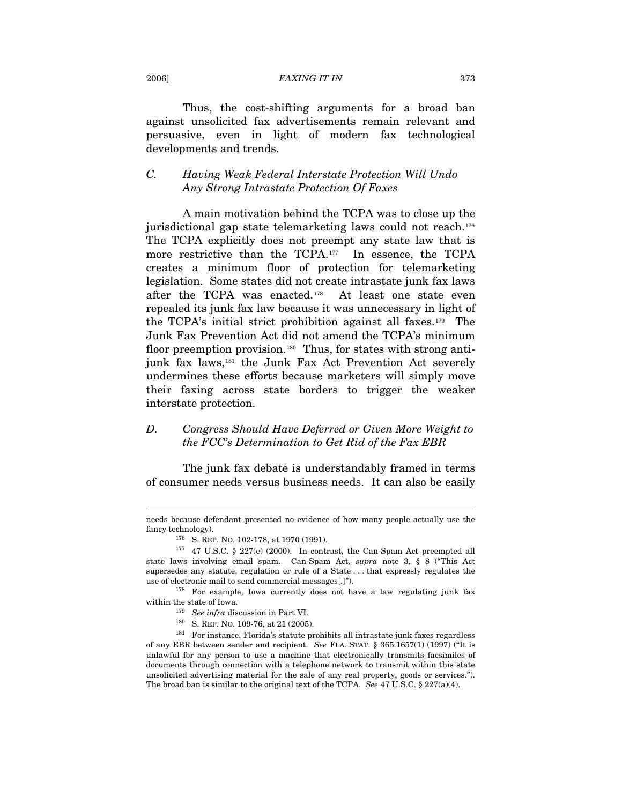#### 2006] *FAXING IT IN* 373

Thus, the cost-shifting arguments for a broad ban against unsolicited fax advertisements remain relevant and persuasive, even in light of modern fax technological developments and trends.

# *C. Having Weak Federal Interstate Protection Will Undo Any Strong Intrastate Protection Of Faxes*

A main motivation behind the TCPA was to close up the jurisdictional gap state telemarketing laws could not reach.[176](#page-29-0) The TCPA explicitly does not preempt any state law that is more restrictive than the TCPA.<sup>[177](#page-29-1)</sup> In essence, the TCPA creates a minimum floor of protection for telemarketing legislation. Some states did not create intrastate junk fax laws after the TCPA was enacted.[178](#page-29-2) At least one state even repealed its junk fax law because it was unnecessary in light of the TCPA's initial strict prohibition against all faxes.[179](#page-29-3) The Junk Fax Prevention Act did not amend the TCPA's minimum floor preemption provision.<sup>[180](#page-29-4)</sup> Thus, for states with strong anti-junk fax laws,<sup>[181](#page-29-5)</sup> the Junk Fax Act Prevention Act severely undermines these efforts because marketers will simply move their faxing across state borders to trigger the weaker interstate protection.

# *D. Congress Should Have Deferred or Given More Weight to the FCC's Determination to Get Rid of the Fax EBR*

The junk fax debate is understandably framed in terms of consumer needs versus business needs. It can also be easily

needs because defendant presented no evidence of how many people actually use the fancy technology).  $176$  S. REP. No. 102-178, at 1970 (1991).  $177$  47 U.S.C. § 227(e) (2000). In contrast, the Can-Spam Act preempted all

<span id="page-29-1"></span><span id="page-29-0"></span>state laws involving email spam. Can-Spam Act, *supra* note 3, § 8 ("This Act supersedes any statute, regulation or rule of a State . . . that expressly regulates the use of electronic mail to send commercial messages[.]"). 178 For example, Iowa currently does not have a law regulating junk fax

<span id="page-29-3"></span><span id="page-29-2"></span>within the state of Iowa.<br><sup>179</sup> *See infra* discussion in Part VI.<br><sup>180</sup> S. REP. NO. 109-76, at 21 (2005).<br><sup>181</sup> For instance, Florida's statute prohibits all intrastate junk faxes regardless

<span id="page-29-5"></span><span id="page-29-4"></span>of any EBR between sender and recipient. *See* FLA. STAT. § 365.1657(1) (1997) ("It is unlawful for any person to use a machine that electronically transmits facsimiles of documents through connection with a telephone network to transmit within this state unsolicited advertising material for the sale of any real property, goods or services."). The broad ban is similar to the original text of the TCPA. *See* 47 U.S.C. § 227(a)(4).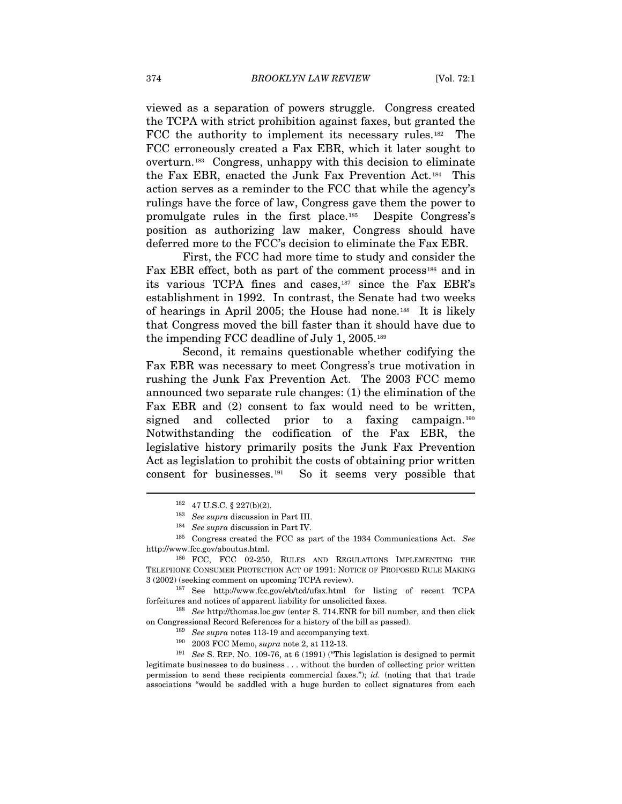viewed as a separation of powers struggle. Congress created the TCPA with strict prohibition against faxes, but granted the FCC the authority to implement its necessary rules.<sup>[182](#page-30-0)</sup> The FCC erroneously created a Fax EBR, which it later sought to overturn.[183](#page-30-1) Congress, unhappy with this decision to eliminate the Fax EBR, enacted the Junk Fax Prevention Act.[184](#page-30-2) This action serves as a reminder to the FCC that while the agency's rulings have the force of law, Congress gave them the power to promulgate rules in the first place.[185](#page-30-3) Despite Congress's position as authorizing law maker, Congress should have deferred more to the FCC's decision to eliminate the Fax EBR.

First, the FCC had more time to study and consider the Fax EBR effect, both as part of the comment process<sup>[186](#page-30-4)</sup> and in its various TCPA fines and cases,[187](#page-30-5) since the Fax EBR's establishment in 1992. In contrast, the Senate had two weeks of hearings in April 2005; the House had none.[188](#page-30-6) It is likely that Congress moved the bill faster than it should have due to the impending FCC deadline of July 1, 2005.[189](#page-30-7)

Second, it remains questionable whether codifying the Fax EBR was necessary to meet Congress's true motivation in rushing the Junk Fax Prevention Act. The 2003 FCC memo announced two separate rule changes: (1) the elimination of the Fax EBR and (2) consent to fax would need to be written, signed and collected prior to a faxing campaign.<sup>[190](#page-30-8)</sup> Notwithstanding the codification of the Fax EBR, the legislative history primarily posits the Junk Fax Prevention Act as legislation to prohibit the costs of obtaining prior written consent for businesses.[191](#page-30-9) So it seems very possible that

<span id="page-30-0"></span> $\overline{a}$ 

<span id="page-30-5"></span> $187$  See http://www.fcc.gov/eb/tcd/ufax.html for listing of recent TCPA forfeitures and notices of apparent liability for unsolicited faxes. 188 *See* http://thomas.loc.gov (enter S. 714.ENR for bill number, and then click

<span id="page-30-7"></span><span id="page-30-6"></span>% on Congressional Record References for a history of the bill as passed).<br><sup>189</sup> See supra notes 113-19 and accompanying text.<br><sup>190</sup> 2003 FCC Memo, *supra* note 2, at 112-13.<br><sup>191</sup> See S. REP. NO. 109-76, at 6 (1991) ("Th

<span id="page-30-9"></span><span id="page-30-8"></span>legitimate businesses to do business . . . without the burden of collecting prior written permission to send these recipients commercial faxes."); *id.* (noting that that trade associations "would be saddled with a huge burden to collect signatures from each

<sup>182 47</sup> U.S.C. § 227(b)(2). 183 *See supra* discussion in Part III. 184 *See supra* discussion in Part IV.

<sup>185</sup> Congress created the FCC as part of the 1934 Communications Act. *See*

<span id="page-30-4"></span><span id="page-30-3"></span><span id="page-30-2"></span><span id="page-30-1"></span>http://www.fcc.gov/aboutus.html. 186 FCC, FCC 02-250, RULES AND REGULATIONS IMPLEMENTING THE TELEPHONE CONSUMER PROTECTION ACT OF 1991: NOTICE OF PROPOSED RULE MAKING 3 (2002) (seeking comment on upcoming TCPA review).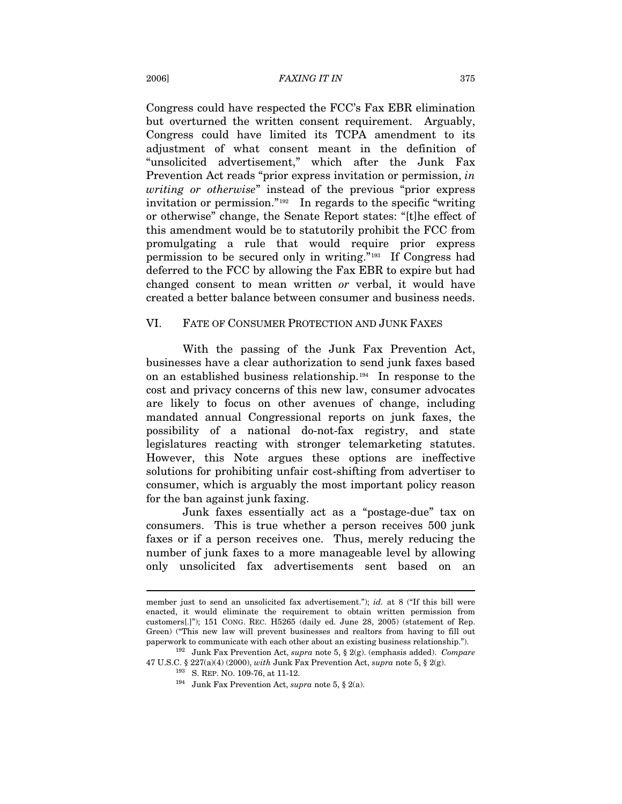Congress could have respected the FCC's Fax EBR elimination but overturned the written consent requirement. Arguably, Congress could have limited its TCPA amendment to its adjustment of what consent meant in the definition of "unsolicited advertisement," which after the Junk Fax Prevention Act reads "prior express invitation or permission, *in writing or otherwise*" instead of the previous "prior express invitation or permission."[192](#page-31-0) In regards to the specific "writing or otherwise" change, the Senate Report states: "[t]he effect of this amendment would be to statutorily prohibit the FCC from promulgating a rule that would require prior express permission to be secured only in writing."[193](#page-31-1) If Congress had deferred to the FCC by allowing the Fax EBR to expire but had changed consent to mean written *or* verbal, it would have created a better balance between consumer and business needs.

#### VI. FATE OF CONSUMER PROTECTION AND JUNK FAXES

With the passing of the Junk Fax Prevention Act, businesses have a clear authorization to send junk faxes based on an established business relationship.[194](#page-31-2) In response to the cost and privacy concerns of this new law, consumer advocates are likely to focus on other avenues of change, including mandated annual Congressional reports on junk faxes, the possibility of a national do-not-fax registry, and state legislatures reacting with stronger telemarketing statutes. However, this Note argues these options are ineffective solutions for prohibiting unfair cost-shifting from advertiser to consumer, which is arguably the most important policy reason for the ban against junk faxing.

Junk faxes essentially act as a "postage-due" tax on consumers. This is true whether a person receives 500 junk faxes or if a person receives one. Thus, merely reducing the number of junk faxes to a more manageable level by allowing only unsolicited fax advertisements sent based on an

member just to send an unsolicited fax advertisement."); *id.* at 8 ("If this bill were enacted, it would eliminate the requirement to obtain written permission from customers[.]"); 151 CONG. REC. H5265 (daily ed. June 28, 2005) (statement of Rep. Green) ("This new law will prevent businesses and realtors from having to fill out paperwork to communicate with each other about an existing business relationship.").

<span id="page-31-2"></span><span id="page-31-1"></span><span id="page-31-0"></span><sup>&</sup>lt;sup>192</sup> Junk Fax Prevention Act, *supra* note 5, § 2(g). (emphasis added). *Compare* 47 U.S.C. § 227(a)(4) (2000), *with* Junk Fax Prevention Act, *supra* note 5, § 2(g).<br><sup>193</sup> S. REP. NO. 109-76, at 11-12.<br><sup>194</sup> Junk Fax Prevention Act, *supra* note 5, § 2(a).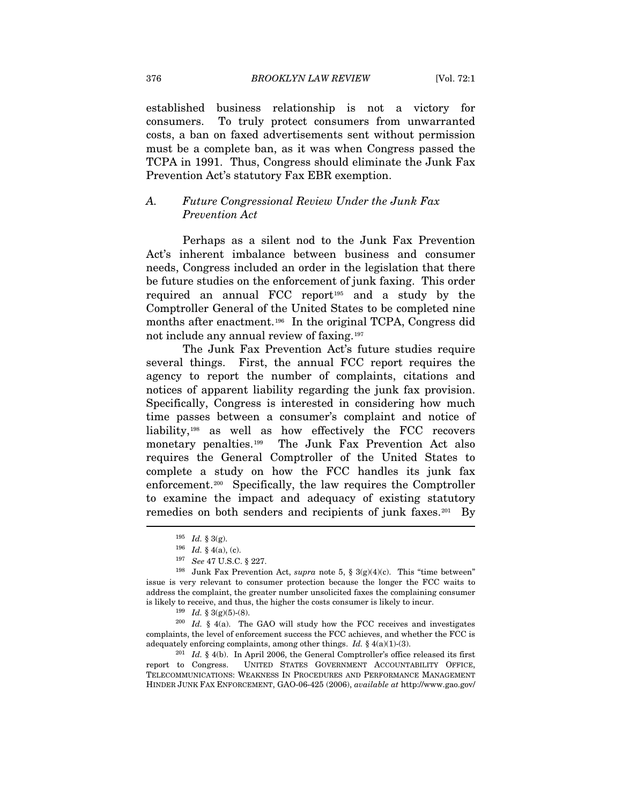established business relationship is not a victory for consumers. To truly protect consumers from unwarranted costs, a ban on faxed advertisements sent without permission must be a complete ban, as it was when Congress passed the TCPA in 1991. Thus, Congress should eliminate the Junk Fax Prevention Act's statutory Fax EBR exemption.

# *A. Future Congressional Review Under the Junk Fax Prevention Act*

Perhaps as a silent nod to the Junk Fax Prevention Act's inherent imbalance between business and consumer needs, Congress included an order in the legislation that there be future studies on the enforcement of junk faxing. This order required an annual FCC report<sup>[195](#page-32-0)</sup> and a study by the Comptroller General of the United States to be completed nine months after enactment.<sup>[196](#page-32-1)</sup> In the original TCPA, Congress did not include any annual review of faxing.[197](#page-32-2)

The Junk Fax Prevention Act's future studies require several things. First, the annual FCC report requires the agency to report the number of complaints, citations and notices of apparent liability regarding the junk fax provision. Specifically, Congress is interested in considering how much time passes between a consumer's complaint and notice of liability,[198](#page-32-3) as well as how effectively the FCC recovers monetary penalties.<sup>[199](#page-32-4)</sup> The Junk Fax Prevention Act also requires the General Comptroller of the United States to complete a study on how the FCC handles its junk fax enforcement.[200](#page-32-5) Specifically, the law requires the Comptroller to examine the impact and adequacy of existing statutory remedies on both senders and recipients of junk faxes.<sup>[201](#page-32-6)</sup> By

<span id="page-32-6"></span>report to Congress. UNITED STATES GOVERNMENT ACCOUNTABILITY OFFICE, TELECOMMUNICATIONS: WEAKNESS IN PROCEDURES AND PERFORMANCE MANAGEMENT HINDER JUNK FAX ENFORCEMENT, GAO-06-425 (2006), *available at* http://www.gao.gov/

<span id="page-32-3"></span><span id="page-32-2"></span><span id="page-32-1"></span><span id="page-32-0"></span><sup>195</sup>*Id.* § 3(g).<br>
196*Id.* § 4(a), (c).<br>
197*See* 47 U.S.C. § 227.<br>
<sup>198</sup>Junk Fax Prevention Act, *supra* note 5, § 3(g)(4)(c). This "time between" issue is very relevant to consumer protection because the longer the FCC waits to address the complaint, the greater number unsolicited faxes the complaining consumer is likely to receive, and thus, the higher the costs consumer is likely to incur.<br><sup>199</sup> *Id.* § 3(g)(5)-(8).<br><sup>200</sup> *Id.* § 4(a). The GAO will study how the FCC receives and investigates

<span id="page-32-5"></span><span id="page-32-4"></span>complaints, the level of enforcement success the FCC achieves, and whether the FCC is adequately enforcing complaints, among other things. *Id.* § 4(a)(1)-(3).<br><sup>201</sup> *Id.* § 4(b). In April 2006, the General Comptroller's office released its first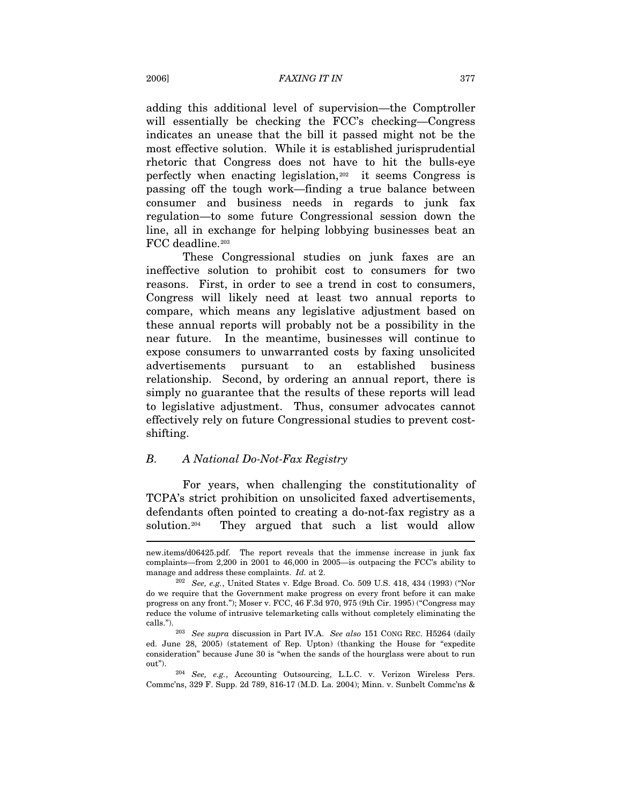adding this additional level of supervision—the Comptroller will essentially be checking the FCC's checking—Congress indicates an unease that the bill it passed might not be the most effective solution. While it is established jurisprudential rhetoric that Congress does not have to hit the bulls-eye perfectly when enacting legislation,[202](#page-33-0) it seems Congress is passing off the tough work—finding a true balance between consumer and business needs in regards to junk fax regulation—to some future Congressional session down the line, all in exchange for helping lobbying businesses beat an FCC deadline.<sup>[203](#page-33-1)</sup>

These Congressional studies on junk faxes are an ineffective solution to prohibit cost to consumers for two reasons. First, in order to see a trend in cost to consumers, Congress will likely need at least two annual reports to compare, which means any legislative adjustment based on these annual reports will probably not be a possibility in the near future. In the meantime, businesses will continue to expose consumers to unwarranted costs by faxing unsolicited advertisements pursuant to an established business relationship. Second, by ordering an annual report, there is simply no guarantee that the results of these reports will lead to legislative adjustment. Thus, consumer advocates cannot effectively rely on future Congressional studies to prevent costshifting.

## *B. A National Do-Not-Fax Registry*

For years, when challenging the constitutionality of TCPA's strict prohibition on unsolicited faxed advertisements, defendants often pointed to creating a do-not-fax registry as a solution.[204](#page-33-2) They argued that such a list would allow

new.items/d06425.pdf. The report reveals that the immense increase in junk fax complaints—from 2,200 in 2001 to 46,000 in 2005—is outpacing the FCC's ability to

<span id="page-33-0"></span>manage and address these complaints. *Id.* at 2.<br><sup>202</sup> *See, e.g.*, United States v. Edge Broad. Co. 509 U.S. 418, 434 (1993) ("Nor do we require that the Government make progress on every front before it can make progress on any front."); Moser v. FCC, 46 F.3d 970, 975 (9th Cir. 1995) ("Congress may reduce the volume of intrusive telemarketing calls without completely eliminating the calls."). 203 *See supra* discussion in Part IV.A. *See also* 151 CONG REC. H5264 (daily

<span id="page-33-1"></span>ed. June 28, 2005) (statement of Rep. Upton) (thanking the House for "expedite consideration" because June 30 is "when the sands of the hourglass were about to run

<span id="page-33-2"></span>out"). 204 *See, e.g.*, Accounting Outsourcing, L.L.C. v. Verizon Wireless Pers. Commc'ns, 329 F. Supp. 2d 789, 816-17 (M.D. La. 2004); Minn. v. Sunbelt Commc'ns &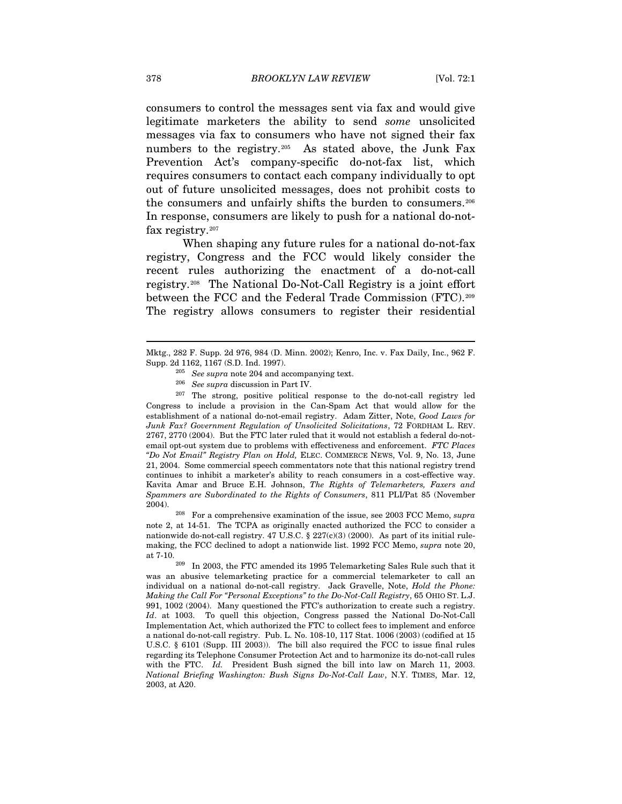consumers to control the messages sent via fax and would give legitimate marketers the ability to send *some* unsolicited messages via fax to consumers who have not signed their fax numbers to the registry.<sup>[205](#page-34-0)</sup> As stated above, the Junk Fax Prevention Act's company-specific do-not-fax list, which requires consumers to contact each company individually to opt out of future unsolicited messages, does not prohibit costs to the consumers and unfairly shifts the burden to consumers.[206](#page-34-1) In response, consumers are likely to push for a national do-notfax registry.[207](#page-34-2)

When shaping any future rules for a national do-not-fax registry, Congress and the FCC would likely consider the recent rules authorizing the enactment of a do-not-call registry.[208](#page-34-3) The National Do-Not-Call Registry is a joint effort between the FCC and the Federal Trade Commission (FTC).[209](#page-34-4) The registry allows consumers to register their residential

<span id="page-34-2"></span><span id="page-34-1"></span>207 The strong, positive political response to the do-not-call registry led Congress to include a provision in the Can-Spam Act that would allow for the establishment of a national do-not-email registry. Adam Zitter, Note, *Good Laws for Junk Fax? Government Regulation of Unsolicited Solicitations*, 72 FORDHAM L. REV. 2767, 2770 (2004). But the FTC later ruled that it would not establish a federal do-notemail opt-out system due to problems with effectiveness and enforcement. *FTC Places "Do Not Email" Registry Plan on Hold,* ELEC. COMMERCE NEWS, Vol. 9, No. 13, June 21, 2004. Some commercial speech commentators note that this national registry trend continues to inhibit a marketer's ability to reach consumers in a cost-effective way. Kavita Amar and Bruce E.H. Johnson, *The Rights of Telemarketers, Faxers and Spammers are Subordinated to the Rights of Consumers*, 811 PLI/Pat 85 (November 2004).

<span id="page-34-3"></span> 208 For a comprehensive examination of the issue, see 2003 FCC Memo, *supra* note 2, at 14-51. The TCPA as originally enacted authorized the FCC to consider a nationwide do-not-call registry. 47 U.S.C. § 227(c)(3) (2000). As part of its initial rulemaking, the FCC declined to adopt a nationwide list. 1992 FCC Memo, *supra* note 20, at 7-10.

<span id="page-34-4"></span> In 2003, the FTC amended its 1995 Telemarketing Sales Rule such that it was an abusive telemarketing practice for a commercial telemarketer to call an individual on a national do-not-call registry. Jack Gravelle, Note, *Hold the Phone: Making the Call For "Personal Exceptions" to the Do-Not-Call Registry*, 65 OHIO ST. L.J. 991, 1002 (2004). Many questioned the FTC's authorization to create such a registry. *Id*. at 1003. To quell this objection, Congress passed the National Do-Not-Call Implementation Act, which authorized the FTC to collect fees to implement and enforce a national do-not-call registry. Pub. L. No. 108-10, 117 Stat. 1006 (2003) (codified at 15 U.S.C. § 6101 (Supp. III 2003)). The bill also required the FCC to issue final rules regarding its Telephone Consumer Protection Act and to harmonize its do-not-call rules with the FTC. *Id.* President Bush signed the bill into law on March 11, 2003. *National Briefing Washington: Bush Signs Do-Not-Call Law*, N.Y. TIMES, Mar. 12, 2003, at A20. 209

<span id="page-34-0"></span>Mktg., 282 F. Supp. 2d 976, 984 (D. Minn. 2002); Kenro, Inc. v. Fax Daily, Inc., 962 F.

<sup>&</sup>lt;sup>205</sup> See *supra* note 204 and accompanying text.<br><sup>206</sup> See *supra* discussion in Part IV.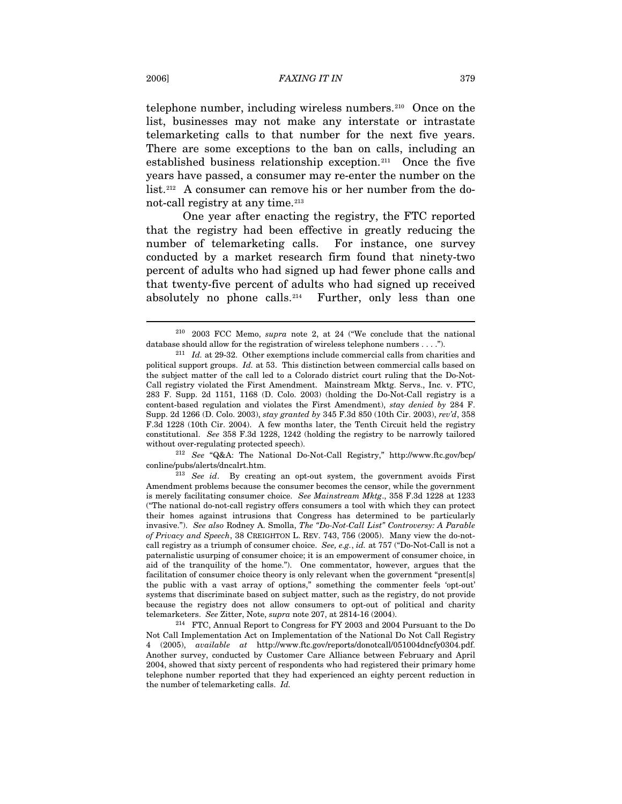telephone number, including wireless numbers.[210](#page-35-0) Once on the list, businesses may not make any interstate or intrastate telemarketing calls to that number for the next five years. There are some exceptions to the ban on calls, including an established business relationship exception.[211](#page-35-1) Once the five years have passed, a consumer may re-enter the number on the list.[212](#page-35-2) A consumer can remove his or her number from the do-not-call registry at any time.<sup>[213](#page-35-3)</sup>

One year after enacting the registry, the FTC reported that the registry had been effective in greatly reducing the number of telemarketing calls. For instance, one survey conducted by a market research firm found that ninety-two percent of adults who had signed up had fewer phone calls and that twenty-five percent of adults who had signed up received absolutely no phone calls.<sup>[214](#page-35-4)</sup> Further, only less than one

<span id="page-35-2"></span> *See* "Q&A: The National Do-Not-Call Registry," http://www.ftc.gov/bcp/ 212 conline/pubs/alerts/dncalrt.htm.

<span id="page-35-0"></span><sup>&</sup>lt;sup>210</sup> 2003 FCC Memo, *supra* note 2, at 24 ("We conclude that the national database should allow for the registration of wireless telephone numbers . . . .").

<span id="page-35-1"></span><sup>&</sup>lt;sup>211</sup> *Id.* at 29-32. Other exemptions include commercial calls from charities and political support groups. *Id.* at 53. This distinction between commercial calls based on the subject matter of the call led to a Colorado district court ruling that the Do-Not-Call registry violated the First Amendment. Mainstream Mktg. Servs., Inc. v. FTC, 283 F. Supp. 2d 1151, 1168 (D. Colo. 2003) (holding the Do-Not-Call registry is a content-based regulation and violates the First Amendment), *stay denied by* 284 F. Supp. 2d 1266 (D. Colo. 2003), *stay granted by* 345 F.3d 850 (10th Cir. 2003), *rev'd*, 358 F.3d 1228 (10th Cir. 2004). A few months later, the Tenth Circuit held the registry constitutional. *See* 358 F.3d 1228, 1242 (holding the registry to be narrowly tailored without over-regulating protected speech).

<span id="page-35-3"></span><sup>&</sup>lt;sup>213</sup> See id. By creating an opt-out system, the government avoids First Amendment problems because the consumer becomes the censor, while the government is merely facilitating consumer choice. *See Mainstream Mktg*., 358 F.3d 1228 at 1233 ("The national do-not-call registry offers consumers a tool with which they can protect their homes against intrusions that Congress has determined to be particularly invasive."). *See also* Rodney A. Smolla, *The "Do-Not-Call List" Controversy: A Parable of Privacy and Speech*, 38 CREIGHTON L. REV. 743, 756 (2005). Many view the do-notcall registry as a triumph of consumer choice. *See, e.g.*, *id.* at 757 ("Do-Not-Call is not a paternalistic usurping of consumer choice; it is an empowerment of consumer choice, in aid of the tranquility of the home."). One commentator, however, argues that the facilitation of consumer choice theory is only relevant when the government "present[s] the public with a vast array of options," something the commenter feels 'opt-out' systems that discriminate based on subject matter, such as the registry, do not provide because the registry does not allow consumers to opt-out of political and charity telemarketers. *See* Zitter, Note, *supra* note 207, at 2814-16 (2004).

<span id="page-35-4"></span> $2^{14}$  FTC, Annual Report to Congress for FY 2003 and 2004 Pursuant to the Do Not Call Implementation Act on Implementation of the National Do Not Call Registry 4 (2005), *available at* http://www.ftc.gov/reports/donotcall/051004dncfy0304.pdf. Another survey, conducted by Customer Care Alliance between February and April 2004, showed that sixty percent of respondents who had registered their primary home telephone number reported that they had experienced an eighty percent reduction in the number of telemarketing calls. *Id.*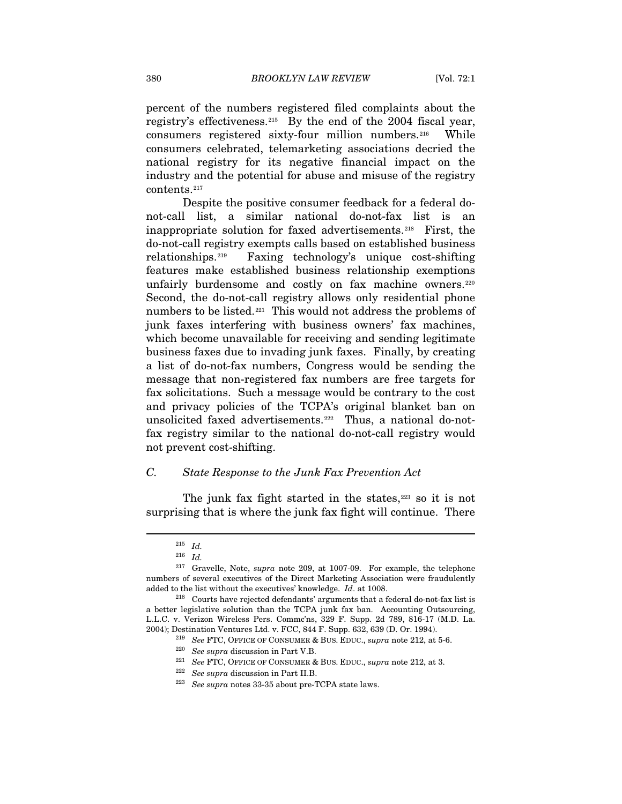percent of the numbers registered filed complaints about the registry's effectiveness.[215](#page-36-0) By the end of the 2004 fiscal year, consumers registered sixty-four million numbers.[216](#page-36-1) While consumers celebrated, telemarketing associations decried the national registry for its negative financial impact on the industry and the potential for abuse and misuse of the registry contents.[217](#page-36-2)

Despite the positive consumer feedback for a federal donot-call list, a similar national do-not-fax list is an inappropriate solution for faxed advertisements.[218](#page-36-3) First, the do-not-call registry exempts calls based on established business relationships.[219](#page-36-4) Faxing technology's unique cost-shifting features make established business relationship exemptions unfairly burdensome and costly on fax machine owners.<sup>[220](#page-36-5)</sup> Second, the do-not-call registry allows only residential phone numbers to be listed.<sup>[221](#page-36-6)</sup> This would not address the problems of junk faxes interfering with business owners' fax machines, which become unavailable for receiving and sending legitimate business faxes due to invading junk faxes. Finally, by creating a list of do-not-fax numbers, Congress would be sending the message that non-registered fax numbers are free targets for fax solicitations. Such a message would be contrary to the cost and privacy policies of the TCPA's original blanket ban on unsolicited faxed advertisements.<sup>[222](#page-36-7)</sup> Thus, a national do-notfax registry similar to the national do-not-call registry would not prevent cost-shifting.

### *C. State Response to the Junk Fax Prevention Act*

The junk fax fight started in the states, $223$  so it is not surprising that is where the junk fax fight will continue. There

 $215$  *Id.* 

 $^{216}\;$   $Id.$ 

<span id="page-36-2"></span><span id="page-36-1"></span><span id="page-36-0"></span><sup>&</sup>lt;sup>217</sup> Gravelle, Note, *supra* note 209, at 1007-09. For example, the telephone numbers of several executives of the Direct Marketing Association were fraudulently added to the list without the executives' knowledge. *Id*. at 1008.

<span id="page-36-8"></span><span id="page-36-7"></span><span id="page-36-6"></span><span id="page-36-5"></span><span id="page-36-4"></span><span id="page-36-3"></span> $218$  Courts have rejected defendants' arguments that a federal do-not-fax list is a better legislative solution than the TCPA junk fax ban. Accounting Outsourcing, L.L.C. v. Verizon Wireless Pers. Commc'ns, 329 F. Supp. 2d 789, 816-17 (M.D. La. 2004); Destination Ventures Ltd. v. FCC, 844 F. Supp. 632, 639 (D. Or. 1994).

<sup>&</sup>lt;sup>219</sup> See FTC, OFFICE OF CONSUMER & BUS. EDUC., *supra* note 212, at 5-6.

<sup>&</sup>lt;sup>220</sup> See supra discussion in Part V.B.

 $^{221}$  *See FTC*, OFFICE OF CONSUMER & BUS. EDUC., *supra* note 212, at 3.

<sup>&</sup>lt;sup>222</sup> See supra discussion in Part II.B.

<sup>&</sup>lt;sup>223</sup> See supra notes 33-35 about pre-TCPA state laws.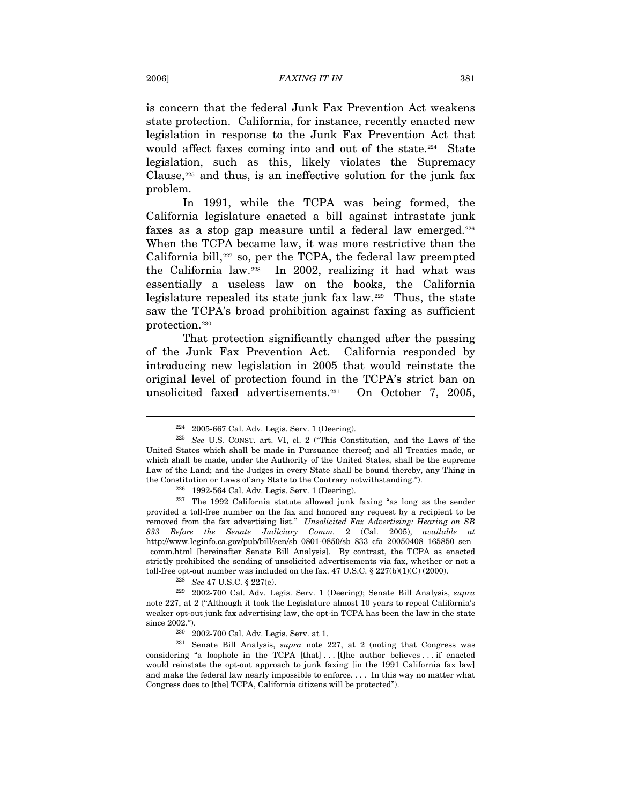is concern that the federal Junk Fax Prevention Act weakens state protection. California, for instance, recently enacted new legislation in response to the Junk Fax Prevention Act that would affect faxes coming into and out of the state.<sup>[224](#page-37-0)</sup> State legislation, such as this, likely violates the Supremacy Clause, $225$  and thus, is an ineffective solution for the junk fax problem.

In 1991, while the TCPA was being formed, the California legislature enacted a bill against intrastate junk faxes as a stop gap measure until a federal law emerged.[226](#page-37-2) When the TCPA became law, it was more restrictive than the California bill, $227$  so, per the TCPA, the federal law preempted the California law.[228](#page-37-4) In 2002, realizing it had what was essentially a useless law on the books, the California legislature repealed its state junk fax law.[229](#page-37-5) Thus, the state saw the TCPA's broad prohibition against faxing as sufficient protection.[230](#page-37-6)

That protection significantly changed after the passing of the Junk Fax Prevention Act. California responded by introducing new legislation in 2005 that would reinstate the original level of protection found in the TCPA's strict ban on unsolicited faxed advertisements.[231](#page-37-7) On October 7, 2005,

 $224$  2005-667 Cal. Adv. Legis. Serv. 1 (Deering).

<span id="page-37-1"></span><span id="page-37-0"></span>*See* U.S. CONST. art. VI, cl. 2 ("This Constitution, and the Laws of the 225 United States which shall be made in Pursuance thereof; and all Treaties made, or which shall be made, under the Authority of the United States, shall be the supreme Law of the Land; and the Judges in every State shall be bound thereby, any Thing in the Constitution or Laws of any State to the Contrary notwithstanding.").

 $226$  1992-564 Cal. Adv. Legis. Serv. 1 (Deering).

<span id="page-37-3"></span><span id="page-37-2"></span> $227$  The 1992 California statute allowed junk faxing "as long as the sender provided a toll-free number on the fax and honored any request by a recipient to be removed from the fax advertising list." *Unsolicited Fax Advertising: Hearing on SB 833 Before the Senate Judiciary Comm.* 2 (Cal. 2005), *available at* http://www.leginfo.ca.gov/pub/bill/sen/sb\_0801-0850/sb\_833\_cfa\_20050408\_165850\_sen \_comm.html [hereinafter Senate Bill Analysis]. By contrast, the TCPA as enacted strictly prohibited the sending of unsolicited advertisements via fax, whether or not a toll-free opt-out number was included on the fax. 47 U.S.C.  $\S 227(b)(1)(C) (2000)$ .

<sup>&</sup>lt;sup>228</sup> *See* 47 U.S.C. § 227(e).

<span id="page-37-5"></span><span id="page-37-4"></span> <sup>2002-700</sup> Cal. Adv. Legis. Serv. 1 (Deering); Senate Bill Analysis, *supra* 229 note 227, at 2 ("Although it took the Legislature almost 10 years to repeal California's weaker opt-out junk fax advertising law, the opt-in TCPA has been the law in the state since 2002.").

 $230$  2002-700 Cal. Adv. Legis. Serv. at 1.

<span id="page-37-7"></span><span id="page-37-6"></span><sup>&</sup>lt;sup>231</sup> Senate Bill Analysis, *supra* note 227, at 2 (noting that Congress was considering "a loophole in the TCPA  $[that] \dots [t]$ he author believes ... if enacted would reinstate the opt-out approach to junk faxing [in the 1991 California fax law] and make the federal law nearly impossible to enforce. . . . In this way no matter what Congress does to [the] TCPA, California citizens will be protected").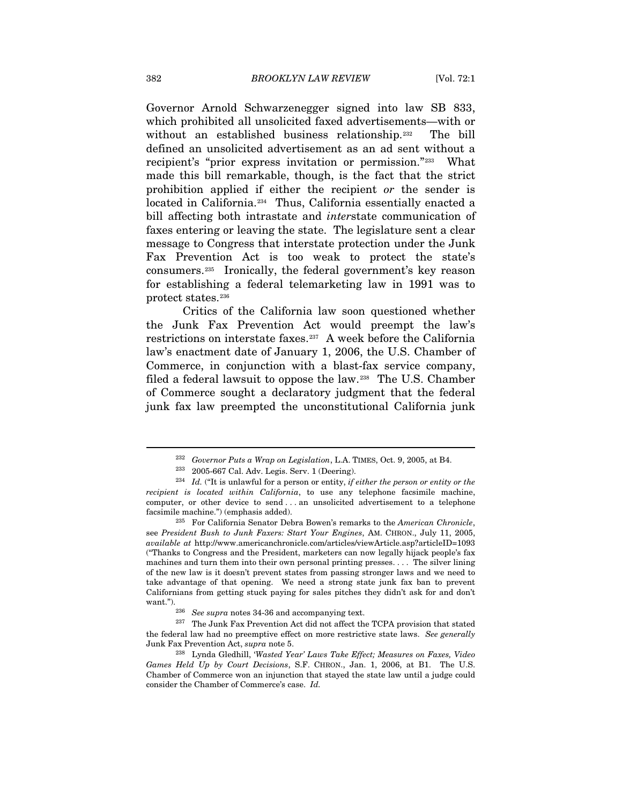Governor Arnold Schwarzenegger signed into law SB 833, which prohibited all unsolicited faxed advertisements—with or without an established business relationship.<sup>[232](#page-38-0)</sup> The bill defined an unsolicited advertisement as an ad sent without a recipient's "prior express invitation or permission."[233](#page-38-1) What made this bill remarkable, though, is the fact that the strict prohibition applied if either the recipient *or* the sender is located in California.<sup>[234](#page-38-2)</sup> Thus, California essentially enacted a bill affecting both intrastate and *inter*state communication of faxes entering or leaving the state. The legislature sent a clear message to Congress that interstate protection under the Junk Fax Prevention Act is too weak to protect the state's consumers.[235](#page-38-3) Ironically, the federal government's key reason for establishing a federal telemarketing law in 1991 was to protect states.[236](#page-38-4)

Critics of the California law soon questioned whether the Junk Fax Prevention Act would preempt the law's restrictions on interstate faxes.[237](#page-38-5) A week before the California law's enactment date of January 1, 2006, the U.S. Chamber of Commerce, in conjunction with a blast-fax service company, filed a federal lawsuit to oppose the law.[238](#page-38-6) The U.S. Chamber of Commerce sought a declaratory judgment that the federal junk fax law preempted the unconstitutional California junk

<sup>&</sup>lt;sup>232</sup> Governor Puts a Wrap on Legislation, L.A. TIMES, Oct. 9, 2005, at B4.

<sup>&</sup>lt;sup>233</sup> 2005-667 Cal. Adv. Legis. Serv. 1 (Deering).

<span id="page-38-2"></span><span id="page-38-1"></span><span id="page-38-0"></span>*Id.* ("It is unlawful for a person or entity, *if either the person or entity or the*  234 *recipient is located within California*, to use any telephone facsimile machine, computer, or other device to send . . . an unsolicited advertisement to a telephone facsimile machine.") (emphasis added).

<span id="page-38-3"></span>For California Senator Debra Bowen's remarks to the *American Chronicle*, 235 see *President Bush to Junk Faxers: Start Your Engines*, AM. CHRON., July 11, 2005, *available at* http://www.americanchronicle.com/articles/viewArticle.asp?articleID=1093 ("Thanks to Congress and the President, marketers can now legally hijack people's fax machines and turn them into their own personal printing presses. . . . The silver lining of the new law is it doesn't prevent states from passing stronger laws and we need to take advantage of that opening. We need a strong state junk fax ban to prevent Californians from getting stuck paying for sales pitches they didn't ask for and don't want.").

 $^{236}\,$   $$ 

<span id="page-38-5"></span><span id="page-38-4"></span><sup>&</sup>lt;sup>237</sup> The Junk Fax Prevention Act did not affect the TCPA provision that stated the federal law had no preemptive effect on more restrictive state laws. *See generally*  Junk Fax Prevention Act, *supra* note 5.

<span id="page-38-6"></span><sup>238</sup> Lynda Gledhill, '*Wasted Year' Laws Take Effect; Measures on Faxes, Video Games Held Up by Court Decisions*, S.F. CHRON., Jan. 1, 2006, at B1. The U.S. Chamber of Commerce won an injunction that stayed the state law until a judge could consider the Chamber of Commerce's case. *Id.*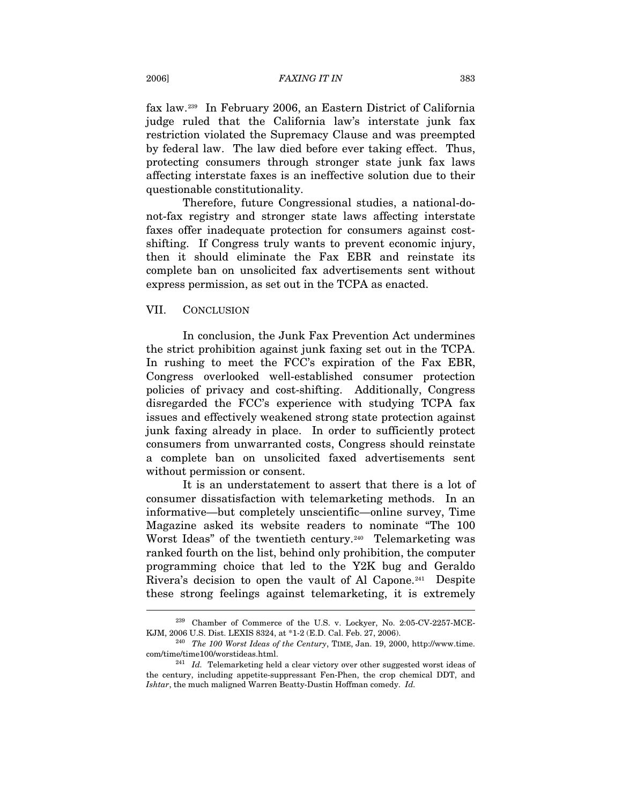#### 2006] *FAXING IT IN* 383

fax law.[239](#page-39-0) In February 2006, an Eastern District of California judge ruled that the California law's interstate junk fax restriction violated the Supremacy Clause and was preempted by federal law. The law died before ever taking effect. Thus, protecting consumers through stronger state junk fax laws affecting interstate faxes is an ineffective solution due to their questionable constitutionality.

Therefore, future Congressional studies, a national-donot-fax registry and stronger state laws affecting interstate faxes offer inadequate protection for consumers against costshifting. If Congress truly wants to prevent economic injury, then it should eliminate the Fax EBR and reinstate its complete ban on unsolicited fax advertisements sent without express permission, as set out in the TCPA as enacted.

#### VII. CONCLUSION

 $\overline{a}$ 

In conclusion, the Junk Fax Prevention Act undermines the strict prohibition against junk faxing set out in the TCPA. In rushing to meet the FCC's expiration of the Fax EBR, Congress overlooked well-established consumer protection policies of privacy and cost-shifting. Additionally, Congress disregarded the FCC's experience with studying TCPA fax issues and effectively weakened strong state protection against junk faxing already in place. In order to sufficiently protect consumers from unwarranted costs, Congress should reinstate a complete ban on unsolicited faxed advertisements sent without permission or consent.

It is an understatement to assert that there is a lot of consumer dissatisfaction with telemarketing methods. In an informative—but completely unscientific—online survey, Time Magazine asked its website readers to nominate "The 100 Worst Ideas" of the twentieth century.<sup>[240](#page-39-1)</sup> Telemarketing was ranked fourth on the list, behind only prohibition, the computer programming choice that led to the Y2K bug and Geraldo Rivera's decision to open the vault of Al Capone.<sup>[241](#page-39-2)</sup> Despite these strong feelings against telemarketing, it is extremely

<span id="page-39-0"></span><sup>&</sup>lt;sup>239</sup> Chamber of Commerce of the U.S. v. Lockyer, No. 2:05-CV-2257-MCE-KJM, 2006 U.S. Dist. LEXIS 8324, at \*1-2 (E.D. Cal. Feb. 27, 2006). 240 *The 100 Worst Ideas of the Century*, TIME, Jan. 19, 2000, http://www.time.

<span id="page-39-1"></span>com/time/time100/worstideas.html. 241 *Id.* Telemarketing held a clear victory over other suggested worst ideas of

<span id="page-39-2"></span>the century, including appetite-suppressant Fen-Phen, the crop chemical DDT, and *Ishtar*, the much maligned Warren Beatty-Dustin Hoffman comedy. *Id.*